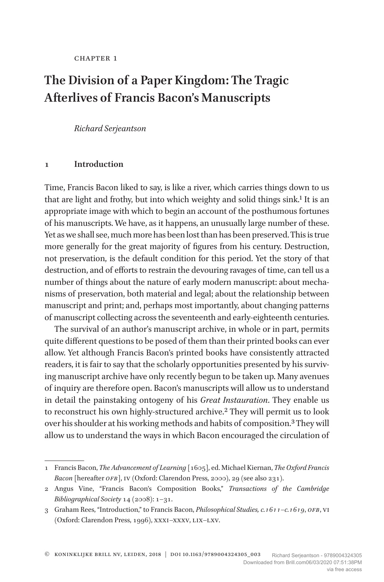# **The Division of a Paper Kingdom: The Tragic Afterlives of Francis Bacon's Manuscripts**

*Richard Serjeantson*

## **1 Introduction**

Time, Francis Bacon liked to say, is like a river, which carries things down to us that are light and frothy, but into which weighty and solid things sink.<sup>1</sup> It is an appropriate image with which to begin an account of the posthumous fortunes of his manuscripts. We have, as it happens, an unusually large number of these. Yet as we shall see, much more has been lost than has been preserved. This is true more generally for the great majority of figures from his century. Destruction, not preservation, is the default condition for this period. Yet the story of that destruction, and of efforts to restrain the devouring ravages of time, can tell us a number of things about the nature of early modern manuscript: about mechanisms of preservation, both material and legal; about the relationship between manuscript and print; and, perhaps most importantly, about changing patterns of manuscript collecting across the seventeenth and early-eighteenth centuries.

The survival of an author's manuscript archive, in whole or in part, permits quite different questions to be posed of them than their printed books can ever allow. Yet although Francis Bacon's printed books have consistently attracted readers, it is fair to say that the scholarly opportunities presented by his surviving manuscript archive have only recently begun to be taken up. Many avenues of inquiry are therefore open. Bacon's manuscripts will allow us to understand in detail the painstaking ontogeny of his *Great Instauration*. They enable us to reconstruct his own highly-structured archive.<sup>2</sup> They will permit us to look over his shoulder at his working methods and habits of composition.3 They will allow us to understand the ways in which Bacon encouraged the circulation of

© Koninklijke Brill NV, Leiden, 2018 | DOI 10.1163/9789004324305\_003 Richard Serjeantson - 9789004324305 Downloaded from Brill.com06/03/2020 07:51:38PM via free access

<sup>1</sup> Francis Bacon, *The Advancement of Learning* [1605], ed. Michael Kiernan, *The Oxford Francis Bacon* [hereafter *OFB*], IV (Oxford: Clarendon Press, 2000), 29 (see also 231).

<sup>2</sup> Angus Vine, "Francis Bacon's Composition Books," *Transactions of the Cambridge Bibliographical Society* 14 (2008): 1–31.

<sup>3</sup> Graham Rees, "Introduction," to Francis Bacon, *Philosophical Studies, c.1611–c.1619*, *OFB*, VI (Oxford: Clarendon Press, 1996), xxxi–xxxv, lix–lxv.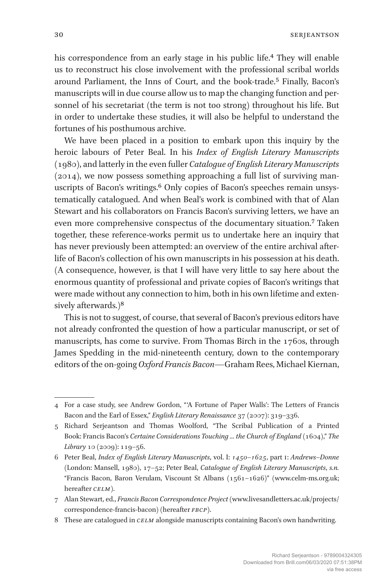30 SERJEANTSON

his correspondence from an early stage in his public life.<sup>4</sup> They will enable us to reconstruct his close involvement with the professional scribal worlds around Parliament, the Inns of Court, and the book-trade.5 Finally, Bacon's manuscripts will in due course allow us to map the changing function and personnel of his secretariat (the term is not too strong) throughout his life. But in order to undertake these studies, it will also be helpful to understand the fortunes of his posthumous archive.

We have been placed in a position to embark upon this inquiry by the heroic labours of Peter Beal. In his *Index of English Literary Manuscripts* (1980), and latterly in the even fuller *Catalogue of English Literary Manuscripts* (2014), we now possess something approaching a full list of surviving manuscripts of Bacon's writings.<sup>6</sup> Only copies of Bacon's speeches remain unsystematically catalogued. And when Beal's work is combined with that of Alan Stewart and his collaborators on Francis Bacon's surviving letters, we have an even more comprehensive conspectus of the documentary situation.7 Taken together, these reference-works permit us to undertake here an inquiry that has never previously been attempted: an overview of the entire archival afterlife of Bacon's collection of his own manuscripts in his possession at his death. (A consequence, however, is that I will have very little to say here about the enormous quantity of professional and private copies of Bacon's writings that were made without any connection to him, both in his own lifetime and extensively afterwards.)8

This is not to suggest, of course, that several of Bacon's previous editors have not already confronted the question of how a particular manuscript, or set of manuscripts, has come to survive. From Thomas Birch in the 1760s, through James Spedding in the mid-nineteenth century, down to the contemporary editors of the on-going *Oxford Francis Bacon*—Graham Rees, Michael Kiernan,

<sup>4</sup> For a case study, see Andrew Gordon, " 'A Fortune of Paper Walls': The Letters of Francis Bacon and the Earl of Essex," *English Literary Renaissance* 37 (2007): 319–336.

<sup>5</sup> Richard Serjeantson and Thomas Woolford, "The Scribal Publication of a Printed Book: Francis Bacon's *Certaine Considerations Touching ... the Church of England* (1604)," *The Library* 10 (2009): 119–56.

<sup>6</sup> Peter Beal, *Index of English Literary Manuscripts*, vol. I: *1450–1625*, part i: *Andrews–Donne* (London: Mansell, 1980), 17–52; Peter Beal, *Catalogue of English Literary Manuscripts*, *s.n.* "Francis Bacon, Baron Verulam, Viscount St Albans (1561–1626)" (www.celm-ms.org.uk; hereafter *CELM*).

<sup>7</sup> Alan Stewart, ed., *Francis Bacon Correspondence Project* (www.livesandletters.ac.uk/projects/ correspondence-francis-bacon) (hereafter *FBCP*).

<sup>8</sup> These are catalogued in *CELM* alongside manuscripts containing Bacon's own handwriting.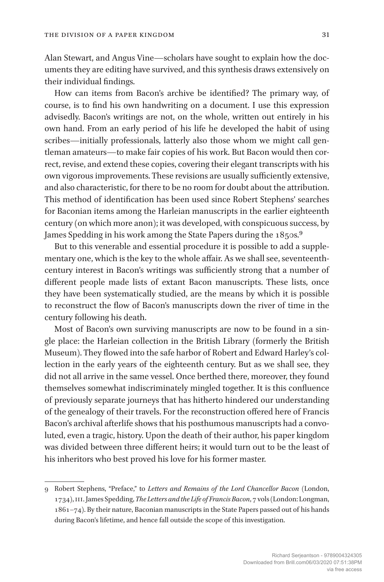Alan Stewart, and Angus Vine—scholars have sought to explain how the documents they are editing have survived, and this synthesis draws extensively on their individual findings.

How can items from Bacon's archive be identified? The primary way, of course, is to find his own handwriting on a document. I use this expression advisedly. Bacon's writings are not, on the whole, written out entirely in his own hand. From an early period of his life he developed the habit of using scribes—initially professionals, latterly also those whom we might call gentleman amateurs—to make fair copies of his work. But Bacon would then correct, revise, and extend these copies, covering their elegant transcripts with his own vigorous improvements. These revisions are usually sufficiently extensive, and also characteristic, for there to be no room for doubt about the attribution. This method of identification has been used since Robert Stephens' searches for Baconian items among the Harleian manuscripts in the earlier eighteenth century (on which more anon); it was developed, with conspicuous success, by James Spedding in his work among the State Papers during the 1850s.<sup>9</sup>

But to this venerable and essential procedure it is possible to add a supplementary one, which is the key to the whole affair. As we shall see, seventeenthcentury interest in Bacon's writings was sufficiently strong that a number of different people made lists of extant Bacon manuscripts. These lists, once they have been systematically studied, are the means by which it is possible to reconstruct the flow of Bacon's manuscripts down the river of time in the century following his death.

Most of Bacon's own surviving manuscripts are now to be found in a single place: the Harleian collection in the British Library (formerly the British Museum). They flowed into the safe harbor of Robert and Edward Harley's collection in the early years of the eighteenth century. But as we shall see, they did not all arrive in the same vessel. Once berthed there, moreover, they found themselves somewhat indiscriminately mingled together. It is this confluence of previously separate journeys that has hitherto hindered our understanding of the genealogy of their travels. For the reconstruction offered here of Francis Bacon's archival afterlife shows that his posthumous manuscripts had a convoluted, even a tragic, history. Upon the death of their author, his paper kingdom was divided between three different heirs; it would turn out to be the least of his inheritors who best proved his love for his former master.

<sup>9</sup> Robert Stephens, "Preface," to *Letters and Remains of the Lord Chancellor Bacon* (London, 1734), iii. James Spedding, *The Letters and the Life of Francis Bacon*, 7 vols (London: Longman, 1861–74). By their nature, Baconian manuscripts in the State Papers passed out of his hands during Bacon's lifetime, and hence fall outside the scope of this investigation.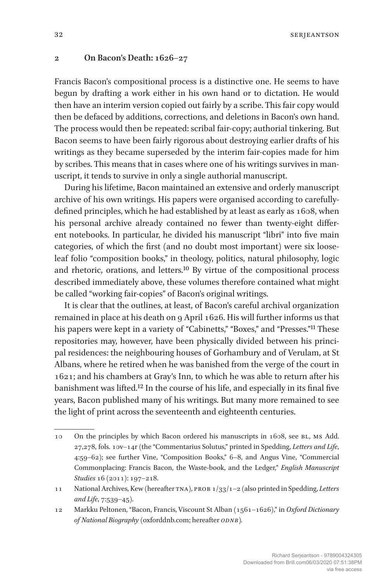32 Serjeantson

#### **2 On Bacon's Death: 1626–27**

Francis Bacon's compositional process is a distinctive one. He seems to have begun by drafting a work either in his own hand or to dictation. He would then have an interim version copied out fairly by a scribe. This fair copy would then be defaced by additions, corrections, and deletions in Bacon's own hand. The process would then be repeated: scribal fair-copy; authorial tinkering. But Bacon seems to have been fairly rigorous about destroying earlier drafts of his writings as they became superseded by the interim fair-copies made for him by scribes. This means that in cases where one of his writings survives in manuscript, it tends to survive in only a single authorial manuscript.

During his lifetime, Bacon maintained an extensive and orderly manuscript archive of his own writings. His papers were organised according to carefullydefined principles, which he had established by at least as early as 1608, when his personal archive already contained no fewer than twenty-eight different notebooks. In particular, he divided his manuscript "libri" into five main categories, of which the first (and no doubt most important) were six looseleaf folio "composition books," in theology, politics, natural philosophy, logic and rhetoric, orations, and letters.10 By virtue of the compositional process described immediately above, these volumes therefore contained what might be called "working fair-copies" of Bacon's original writings.

It is clear that the outlines, at least, of Bacon's careful archival organization remained in place at his death on 9 April 1626. His will further informs us that his papers were kept in a variety of "Cabinetts," "Boxes," and "Presses."<sup>11</sup> These repositories may, however, have been physically divided between his principal residences: the neighbouring houses of Gorhambury and of Verulam, at St Albans, where he retired when he was banished from the verge of the court in 1621; and his chambers at Gray's Inn, to which he was able to return after his banishment was lifted.12 In the course of his life, and especially in its final five years, Bacon published many of his writings. But many more remained to see the light of print across the seventeenth and eighteenth centuries.

<sup>10</sup> On the principles by which Bacon ordered his manuscripts in 1608, see BL, MS Add. 27,278, fols. 10v–14r (the "Commentarius Solutus," printed in Spedding, *Letters and Life*, 4:59–62); see further Vine, "Composition Books," 6–8, and Angus Vine, "Commercial Commonplacing: Francis Bacon, the Waste-book, and the Ledger," *English Manuscript Studies* 16 (2011): 197–218.

<sup>11</sup> National Archives, Kew (hereafter TNA), PROB 1/33/1–2 (also printed in Spedding, *Letters and Life*, 7:539–45).

<sup>12</sup> Markku Peltonen, "Bacon, Francis, Viscount St Alban (1561–1626)," in *Oxford Dictionary of National Biography* (oxforddnb.com; hereafter *ODNB*)*.*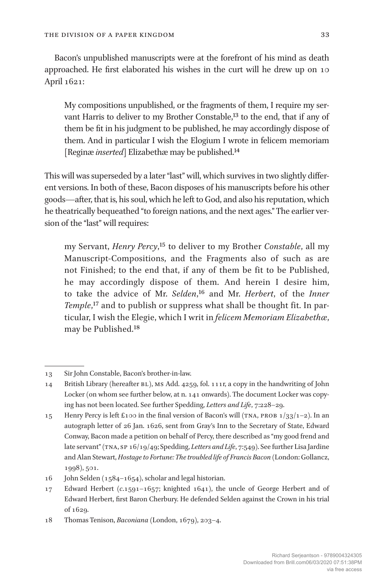Bacon's unpublished manuscripts were at the forefront of his mind as death approached. He first elaborated his wishes in the curt will he drew up on 10 April 1621:

My compositions unpublished, or the fragments of them, I require my servant Harris to deliver to my Brother Constable,<sup>13</sup> to the end, that if any of them be fit in his judgment to be published, he may accordingly dispose of them. And in particular I wish the Elogium I wrote in felicem memoriam [Reginæ *inserted*] Elizabethæ may be published.14

This will was superseded by a later "last" will, which survives in two slightly different versions. In both of these, Bacon disposes of his manuscripts before his other goods—after, that is, his soul, which he left to God, and also his reputation, which he theatrically bequeathed "to foreign nations, and the next ages." The earlier version of the "last" will requires:

my Servant, *Henry Percy*,15 to deliver to my Brother *Constable*, all my Manuscript-Compositions, and the Fragments also of such as are not Finished; to the end that, if any of them be fit to be Published, he may accordingly dispose of them. And herein I desire him, to take the advice of Mr. *Selden*,16 and Mr. *Herbert*, of the *Inner Temple*,<sup>17</sup> and to publish or suppress what shall be thought fit. In particular, I wish the Elegie, which I writ in *felicem Memoriam Elizabethæ*, may be Published.18

<sup>13</sup> Sir John Constable, Bacon's brother-in-law.

<sup>14</sup> British Library (hereafter BL), MS Add. 4259, fol. 111r, a copy in the handwriting of John Locker (on whom see further below, at n. 141 onwards). The document Locker was copying has not been located. See further Spedding, *Letters and Life*, 7:228–29.

<sup>15</sup> Henry Percy is left £100 in the final version of Bacon's will (TNA, PROB  $1/33/1-2$ ). In an autograph letter of 26 Jan. 1626, sent from Gray's Inn to the Secretary of State, Edward Conway, Bacon made a petition on behalf of Percy, there described as "my good frend and late servant" (TNA, SP 16/19/49; Spedding, *Letters and Life*, 7:549). See further Lisa Jardine and Alan Stewart, *Hostage to Fortune: The troubled life of Francis Bacon* (London: Gollancz, 1998), 501.

<sup>16</sup> John Selden (1584–1654), scholar and legal historian.

<sup>17</sup> Edward Herbert (*c*.1591–1657; knighted 1641), the uncle of George Herbert and of Edward Herbert, first Baron Cherbury. He defended Selden against the Crown in his trial of 1629.

<sup>18</sup> Thomas Tenison, *Baconiana* (London, 1679), 203–4.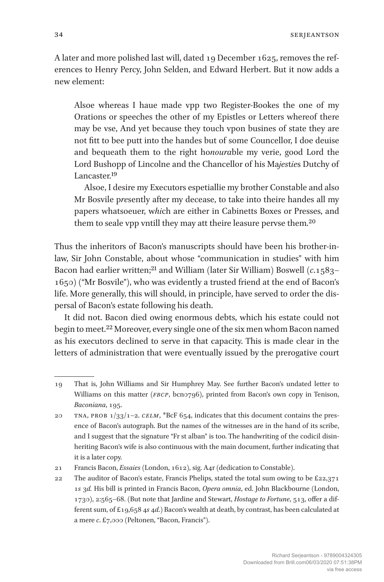A later and more polished last will, dated 19 December 1625, removes the references to Henry Percy, John Selden, and Edward Herbert. But it now adds a new element:

Alsoe whereas I haue made vpp two Register-Bookes the one of my Orations or speeches the other of my Epistles or Letters whereof there may be vse, And yet because they touch vpon busines of state they are not fitt to bee putt into the handes but of some Councellor, I doe deuise and bequeath them to the right ho*noura*ble my verie, good Lord the Lord Bushopp of Lincolne and the Chancellor of his Ma*jes*t*ie*s Dutchy of Lancaster<sup>19</sup>

Alsoe, I desire my Executors espetiallie my brother Constable and also Mr Bosvile p*re*sently after my decease, to take into theire handes all my papers whatsoeuer, w*hi*ch are either in Cabinetts Boxes or Presses, and them to seale vpp vntill they may att theire leasure pervse them.20

Thus the inheritors of Bacon's manuscripts should have been his brother-inlaw, Sir John Constable, about whose "communication in studies" with him Bacon had earlier written;<sup>21</sup> and William (later Sir William) Boswell ( $c.1583-$ 1650) ("Mr Bosvile"), who was evidently a trusted friend at the end of Bacon's life. More generally, this will should, in principle, have served to order the dispersal of Bacon's estate following his death.

It did not. Bacon died owing enormous debts, which his estate could not begin to meet.22 Moreover, every single one of the six men whom Bacon named as his executors declined to serve in that capacity. This is made clear in the letters of administration that were eventually issued by the prerogative court

<sup>19</sup> That is, John Williams and Sir Humphrey May. See further Bacon's undated letter to Williams on this matter (FBCP, bcn0796), printed from Bacon's own copy in Tenison, *Baconiana*, 195.

<sup>20</sup> TNA, PROB  $1/33/1-2$ . *CELM*, \*BcF 654, indicates that this document contains the presence of Bacon's autograph. But the names of the witnesses are in the hand of its scribe, and I suggest that the signature "Fr st alban" is too. The handwriting of the codicil disinheriting Bacon's wife is also continuous with the main document, further indicating that it is a later copy.

<sup>21</sup> Francis Bacon, *Essaies* (London, 1612), sig. A4r (dedication to Constable).

<sup>22</sup> The auditor of Bacon's estate, Francis Phelips, stated the total sum owing to be £22,371 1*s* 3*d.* His bill is printed in Francis Bacon, *Opera omnia*, ed. John Blackbourne (London, 1730), 2:565–68. (But note that Jardine and Stewart, *Hostage to Fortune*, 513, offer a different sum, of £19,658 4*s* 4*d*.) Bacon's wealth at death, by contrast, has been calculated at a mere *c*. £7,000 (Peltonen, "Bacon, Francis").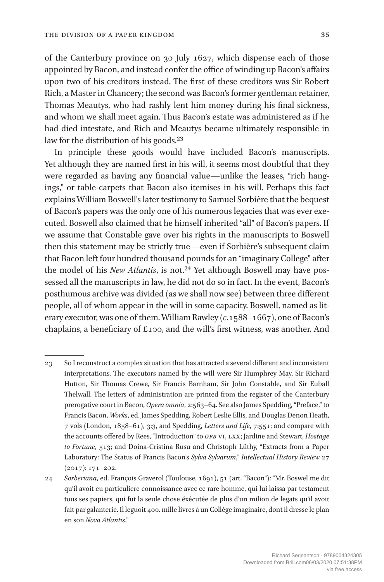of the Canterbury province on 30 July 1627, which dispense each of those appointed by Bacon, and instead confer the office of winding up Bacon's affairs upon two of his creditors instead. The first of these creditors was Sir Robert Rich, a Master in Chancery; the second was Bacon's former gentleman retainer, Thomas Meautys, who had rashly lent him money during his final sickness, and whom we shall meet again. Thus Bacon's estate was administered as if he had died intestate, and Rich and Meautys became ultimately responsible in law for the distribution of his goods.<sup>23</sup>

In principle these goods would have included Bacon's manuscripts. Yet although they are named first in his will, it seems most doubtful that they were regarded as having any financial value—unlike the leases, "rich hangings," or table-carpets that Bacon also itemises in his will. Perhaps this fact explains William Boswell's later testimony to Samuel Sorbière that the bequest of Bacon's papers was the only one of his numerous legacies that was ever executed. Boswell also claimed that he himself inherited "all" of Bacon's papers. If we assume that Constable gave over his rights in the manuscripts to Boswell then this statement may be strictly true—even if Sorbière's subsequent claim that Bacon left four hundred thousand pounds for an "imaginary College" after the model of his *New Atlantis*, is not.<sup>24</sup> Yet although Boswell may have possessed all the manuscripts in law, he did not do so in fact. In the event, Bacon's posthumous archive was divided (as we shall now see) between three different people, all of whom appear in the will in some capacity. Boswell, named as literary executor, was one of them. William Rawley (*c*.1588–1667), one of Bacon's chaplains, a beneficiary of £100, and the will's first witness, was another. And

<sup>23</sup> So I reconstruct a complex situation that has attracted a several different and inconsistent interpretations. The executors named by the will were Sir Humphrey May, Sir Richard Hutton, Sir Thomas Crewe, Sir Francis Barnham, Sir John Constable, and Sir Euball Thelwall. The letters of administration are printed from the register of the Canterbury prerogative court in Bacon, *Opera omnia*, 2:563–64. See also James Spedding, "Preface," to Francis Bacon, *Works*, ed. James Spedding, Robert Leslie Ellis, and Douglas Denon Heath, 7 vols (London, 1858–61), 3:3, and Spedding, *Letters and Life*, 7:551; and compare with the accounts offered by Rees, "Introduction" to *OFB* VI, lxx; Jardine and Stewart, *Hostage to Fortune*, 513; and Doina-Cristina Rusu and Christoph Lüthy, "Extracts from a Paper Laboratory: The Status of Francis Bacon's *Sylva Sylvarum*," *Intellectual History Review* 27 (2017): 171–202.

<sup>24</sup> *Sorberiana*, ed. François Graverol (Toulouse, 1691), 51 (art. "Bacon"): "Mr. Boswel me dit qu'il avoit eu particuliere connoissance avec ce rare homme, qui lui laissa par testament tous ses papiers, qui fut la seule chose éxécutée de plus d'un milion de legats qu'il avoit fait par galanterie. Il leguoit 400. mille livres à un Collège imaginaire, dont il dresse le plan en son *Nova Atlantis*."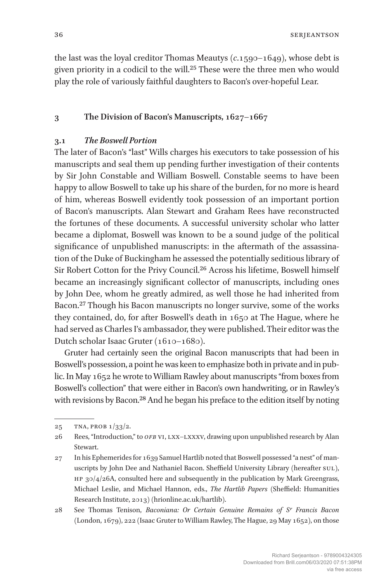the last was the loyal creditor Thomas Meautys (*c*.1590–1649), whose debt is given priority in a codicil to the will.25 These were the three men who would play the role of variously faithful daughters to Bacon's over-hopeful Lear.

#### **3 The Division of Bacon's Manuscripts, 1627–1667**

## **3.1** *The Boswell Portion*

The later of Bacon's "last" Wills charges his executors to take possession of his manuscripts and seal them up pending further investigation of their contents by Sir John Constable and William Boswell. Constable seems to have been happy to allow Boswell to take up his share of the burden, for no more is heard of him, whereas Boswell evidently took possession of an important portion of Bacon's manuscripts. Alan Stewart and Graham Rees have reconstructed the fortunes of these documents. A successful university scholar who latter became a diplomat, Boswell was known to be a sound judge of the political significance of unpublished manuscripts: in the aftermath of the assassination of the Duke of Buckingham he assessed the potentially seditious library of Sir Robert Cotton for the Privy Council.26 Across his lifetime, Boswell himself became an increasingly significant collector of manuscripts, including ones by John Dee, whom he greatly admired, as well those he had inherited from Bacon.27 Though his Bacon manuscripts no longer survive, some of the works they contained, do, for after Boswell's death in 1650 at The Hague, where he had served as Charles I's ambassador, they were published. Their editor was the Dutch scholar Isaac Gruter (1610–1680).

Gruter had certainly seen the original Bacon manuscripts that had been in Boswell's possession, a point he was keen to emphasize both in private and in public. In May 1652 he wrote to William Rawley about manuscripts "from boxes from Boswell's collection" that were either in Bacon's own handwriting, or in Rawley's with revisions by Bacon.28 And he began his preface to the edition itself by noting

<sup>25</sup> TNA, PROB 1/33/2.

<sup>26</sup> Rees, "Introduction," to *OFB* VI, lxx–lxxxv, drawing upon unpublished research by Alan Stewart.

<sup>27</sup> In his Ephemerides for 1639 Samuel Hartlib noted that Boswell possessed "a nest" of manuscripts by John Dee and Nathaniel Bacon. Sheffield University Library (hereafter SUL), HP  $30/4/26$ A, consulted here and subsequently in the publication by Mark Greengrass, Michael Leslie, and Michael Hannon, eds., *The Hartlib Papers* (Sheffield: Humanities Research Institute, 2013) (hrionline.ac.uk/hartlib).

<sup>28</sup> See Thomas Tenison, *Baconiana: Or Certain Genuine Remains of Sr Francis Bacon* (London, 1679), 222 (Isaac Gruter to William Rawley, The Hague, 29 May 1652), on those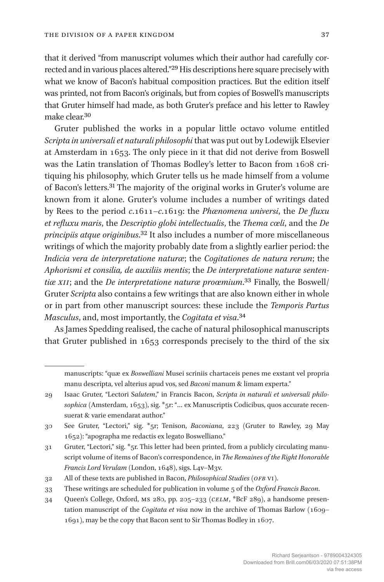that it derived "from manuscript volumes which their author had carefully corrected and in various places altered."29 His descriptions here square precisely with what we know of Bacon's habitual composition practices. But the edition itself was printed, not from Bacon's originals, but from copies of Boswell's manuscripts that Gruter himself had made, as both Gruter's preface and his letter to Rawley make clear.30

Gruter published the works in a popular little octavo volume entitled *Scripta in universali et naturali philosophi* that was put out by Lodewijk Elsevier at Amsterdam in 1653. The only piece in it that did not derive from Boswell was the Latin translation of Thomas Bodley's letter to Bacon from 1608 critiquing his philosophy, which Gruter tells us he made himself from a volume of Bacon's letters.31 The majority of the original works in Gruter's volume are known from it alone. Gruter's volume includes a number of writings dated by Rees to the period *c*.1611–*c*.1619: the *Phænomena universi*, the *De fluxu et refluxu maris*, the *Descriptio globi intellectualis*, the *Thema cœli*, and the *De principiis atque originibus*.32 It also includes a number of more miscellaneous writings of which the majority probably date from a slightly earlier period: the *Indicia vera de interpretatione naturæ*; the *Cogitationes de natura rerum*; the *Aphorismi et consilia, de auxiliis mentis*; the *De interpretatione naturæ sententiæ xii*; and the *De interpretatione naturæ proœmium*.33 Finally, the Boswell/ Gruter *Scripta* also contains a few writings that are also known either in whole or in part from other manuscript sources: these include the *Temporis Partus Masculus*, and, most importantly, the *Cogitata et visa*.34

As James Spedding realised, the cache of natural philosophical manuscripts that Gruter published in 1653 corresponds precisely to the third of the six

manuscripts: "quæ ex *Boswelliani* Musei scriniis chartaceis penes me exstant vel propria manu descripta, vel alterius apud vos, sed *Baconi* manum & limam experta."

<sup>29</sup> Isaac Gruter, "Lectori S*alutem*," in Francis Bacon, *Scripta in naturali et universali philosophica* (Amsterdam, 1653), sig. \*5r: "… ex Manuscriptis Codicibus, quos accurate recensuerat & varie emendarat author."

<sup>30</sup> See Gruter, "Lectori," sig. \*5r; Tenison, *Baconiana*, 223 (Gruter to Rawley, 29 May 1652): "apographa me redactis ex legato Boswelliano."

<sup>31</sup> Gruter, "Lectori," sig. \*5r. This letter had been printed, from a publicly circulating manuscript volume of items of Bacon's correspondence, in *The Remaines of the Right Honorable Francis Lord Verulam* (London, 1648), sigs. L4v–M3v.

<sup>32</sup> All of these texts are published in Bacon, *Philosophical Studies* (*OFB* VI).

<sup>33</sup> These writings are scheduled for publication in volume 5 of the *Oxford Francis Bacon*.

<sup>34</sup> Queen's College, Oxford, MS 280, pp. 205–233 (*CELM*, \*BcF 289), a handsome presentation manuscript of the *Cogitata et visa* now in the archive of Thomas Barlow (1609– 1691), may be the copy that Bacon sent to Sir Thomas Bodley in 1607.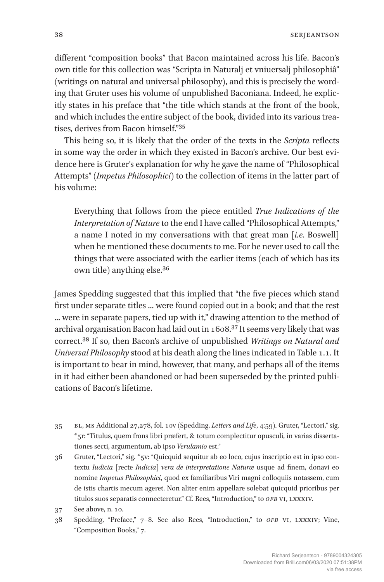38 Serjeantson

different "composition books" that Bacon maintained across his life. Bacon's own title for this collection was "Scripta in Naturalj et vniuersalj philosophiâ" (writings on natural and universal philosophy), and this is precisely the wording that Gruter uses his volume of unpublished Baconiana. Indeed, he explicitly states in his preface that "the title which stands at the front of the book, and which includes the entire subject of the book, divided into its various treatises, derives from Bacon himself."35

This being so, it is likely that the order of the texts in the *Scripta* reflects in some way the order in which they existed in Bacon's archive. Our best evidence here is Gruter's explanation for why he gave the name of "Philosophical Attempts" (*Impetus Philosophici*) to the collection of items in the latter part of his volume:

Everything that follows from the piece entitled *True Indications of the Interpretation of Nature* to the end I have called "Philosophical Attempts," a name I noted in my conversations with that great man [*i.e*. Boswell] when he mentioned these documents to me. For he never used to call the things that were associated with the earlier items (each of which has its own title) anything else.36

James Spedding suggested that this implied that "the five pieces which stand first under separate titles ... were found copied out in a book; and that the rest ... were in separate papers, tied up with it," drawing attention to the method of archival organisation Bacon had laid out in 1608.37 It seems very likely that was correct.38 If so, then Bacon's archive of unpublished *Writings on Natural and Universal Philosophy* stood at his death along the lines indicated in Table 1.1. It is important to bear in mind, however, that many, and perhaps all of the items in it had either been abandoned or had been superseded by the printed publications of Bacon's lifetime.

<sup>35</sup> BL, MS Additional 27,278, fol. 10v (Spedding, *Letters and Life*, 4:59). Gruter, "Lectori," sig. \*5r: "Titulus, quem frons libri præfert, & totum complectitur opusculi, in varias dissertationes secti, argumentum, ab ipso *Verulamio* est."

<sup>36</sup> Gruter, "Lectori," sig. \*5v: "Quicquid sequitur ab eo loco, cujus inscriptio est in ipso contextu *Iudicia* [recte *Indicia*] *vera de interpretatione Naturæ* usque ad finem, donavi eo nomine *Impetus Philosophici*, quod ex familiaribus Viri magni colloquiis notassem, cum de istis chartis mecum ageret. Non aliter enim appellare solebat quicquid prioribus per titulos suos separatis connecteretur." Cf. Rees, "Introduction," to *OFB* VI, lxxxiv.

<sup>37</sup> See above, n. 10.

<sup>38</sup> Spedding, "Preface," 7–8. See also Rees, "Introduction," to *OFB* VI, lxxxiv; Vine, "Composition Books," 7.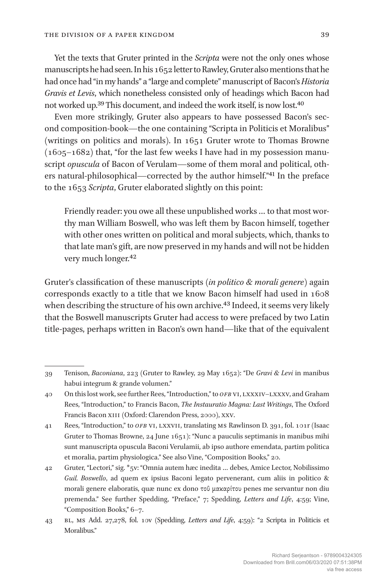Yet the texts that Gruter printed in the *Scripta* were not the only ones whose manuscripts he had seen. In his 1652 letter to Rawley, Gruter also mentions that he had once had "in my hands" a "large and complete" manuscript of Bacon's *Historia Gravis et Levis*, which nonetheless consisted only of headings which Bacon had not worked up.39 This document, and indeed the work itself, is now lost.40

Even more strikingly, Gruter also appears to have possessed Bacon's second composition-book—the one containing "Scripta in Politicis et Moralibus" (writings on politics and morals). In 1651 Gruter wrote to Thomas Browne  $(1605-1682)$  that, "for the last few weeks I have had in my possession manuscript *opuscula* of Bacon of Verulam—some of them moral and political, others natural-philosophical—corrected by the author himself."41 In the preface to the 1653 *Scripta*, Gruter elaborated slightly on this point:

Friendly reader: you owe all these unpublished works … to that most worthy man William Boswell, who was left them by Bacon himself, together with other ones written on political and moral subjects, which, thanks to that late man's gift, are now preserved in my hands and will not be hidden very much longer.42

Gruter's classification of these manuscripts (*in politico & morali genere*) again corresponds exactly to a title that we know Bacon himself had used in 1608 when describing the structure of his own archive.<sup>43</sup> Indeed, it seems very likely that the Boswell manuscripts Gruter had access to were prefaced by two Latin title-pages, perhaps written in Bacon's own hand—like that of the equivalent

<sup>39</sup> Tenison, *Baconiana*, 223 (Gruter to Rawley, 29 May 1652): "De *Gravi & Levi* in manibus habui integrum & grande volumen."

<sup>40</sup> On this lost work, see further Rees, "Introduction," to *OFB* VI, lxxxiv–lxxxv, and Graham Rees, "Introduction," to Francis Bacon, *The Instauratio Magna: Last Writings*, The Oxford Francis Bacon XIII (Oxford: Clarendon Press, 2000), xxv.

<sup>41</sup> Rees, "Introduction," to *OFB* VI, lxxvii, translating MS Rawlinson D. 391, fol. 101r (Isaac Gruter to Thomas Browne, 24 June 1651): "Nunc a pauculis septimanis in manibus mihi sunt manuscripta opuscula Baconi Verulamii, ab ipso authore emendata, partim politica et moralia, partim physiologica." See also Vine, "Composition Books," 20.

<sup>42</sup> Gruter, "Lectori," sig. \*5v: "Omnia autem hæc inedita … debes, Amice Lector, Nobilissimo *Guil. Boswello*, ad quem ex ipsius Baconi legato pervenerant, cum aliis in politico & morali genere elaboratis, quæ nunc ex dono τοῦ μακαρίτου penes me servantur non diu premenda." See further Spedding, "Preface," 7; Spedding, *Letters and Life*, 4:59; Vine, "Composition Books," 6–7.

<sup>43</sup> BL, MS Add. 27,278, fol. 10v (Spedding, *Letters and Life*, 4:59): "2 Scripta in Politicis et Moralibus."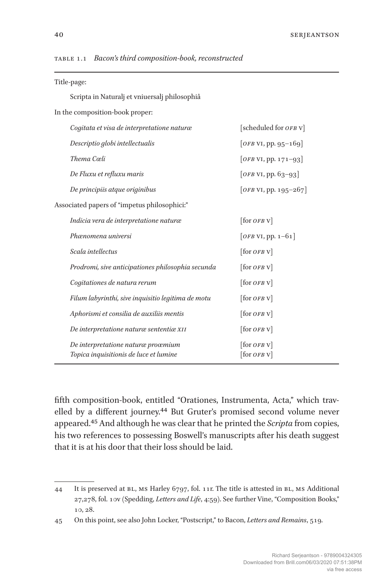| Title-page:                                  |                                                                              |                                                                      |  |
|----------------------------------------------|------------------------------------------------------------------------------|----------------------------------------------------------------------|--|
|                                              | Scripta in Naturalj et vniuersalj philosophiâ                                |                                                                      |  |
| In the composition-book proper:              |                                                                              |                                                                      |  |
|                                              | Cogitata et visa de interpretatione naturæ                                   | [scheduled for <i>OFB</i> V]                                         |  |
|                                              | Descriptio globi intellectualis                                              | [ <i>OFB</i> VI, pp. 95-169]                                         |  |
|                                              | Thema Cœli                                                                   | [ <i>OFB</i> VI, pp. $171 - 93$ ]                                    |  |
|                                              | De Fluxu et refluxu maris                                                    | [ <i>OFB</i> VI, pp. 63-93]                                          |  |
|                                              | De principiis atque originibus                                               | [ <i>OFB</i> VI, pp. $195-267$ ]                                     |  |
| Associated papers of "impetus philosophici:" |                                                                              |                                                                      |  |
|                                              | Indicia vera de interpretatione naturæ                                       | $[for$ <i>OFB</i> $V]$                                               |  |
|                                              | Phænomena universi                                                           | [ <i>OFB</i> VI, pp. $1-61$ ]                                        |  |
|                                              | Scala intellectus                                                            | $[for$ <i>OFB</i> $V]$                                               |  |
|                                              | Prodromi, sive anticipationes philosophia secunda                            | $[for$ <i>OFB</i> $V]$                                               |  |
|                                              | Cogitationes de natura rerum                                                 | $[for$ <i>OFB</i> $V]$                                               |  |
|                                              | Filum labyrinthi, sive inquisitio legitima de motu                           | $[for$ <i>OFB</i> $V]$                                               |  |
|                                              | Aphorismi et consilia de auxiliis mentis                                     | $[for$ <i>OFB</i> $V]$                                               |  |
|                                              | De interpretatione naturæ sententiæ XII                                      | $[for$ <i>OFB</i> $V]$                                               |  |
|                                              | De interpretatione naturæ proæmium<br>Topica inquisitionis de luce et lumine | $[for$ <i>OFB</i> $V]$<br>$\lceil \text{for }$ <i>OFB</i> $\text{V}$ |  |

Table 1.1 *Bacon's third composition-book, reconstructed*

fifth composition-book, entitled "Orationes, Instrumenta, Acta," which travelled by a different journey.44 But Gruter's promised second volume never appeared.45 And although he was clear that he printed the *Scripta* from copies, his two references to possessing Boswell's manuscripts after his death suggest that it is at his door that their loss should be laid.

<sup>44</sup> It is preserved at BL, MS Harley 6797, fol. 11r. The title is attested in BL, MS Additional 27,278, fol. 10v (Spedding, *Letters and Life*, 4:59). See further Vine, "Composition Books," 10, 28.

<sup>45</sup> On this point, see also John Locker, "Postscript," to Bacon, *Letters and Remains*, 519.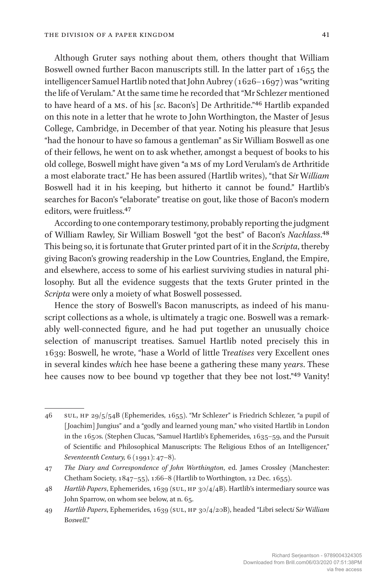Although Gruter says nothing about them, others thought that William Boswell owned further Bacon manuscripts still. In the latter part of 1655 the intelligencer Samuel Hartlib noted that John Aubrey (1626–1697) was "writing the life of Verulam." At the same time he recorded that "Mr Schlez*e*r mentioned to have heard of a MS. of his [*sc*. Bacon's] De Arthritide."46 Hartlib expanded on this note in a letter that he wrote to John Worthington, the Master of Jesus College, Cambridge, in December of that year. Noting his pleasure that Jesus "had the honour to have so famous a gentleman" as Sir William Boswell as one of their fellows, he went on to ask whether, amongst a bequest of books to his old college, Boswell might have given "a MS of my Lord Verulam's de Arthritide a most elaborate tract." He has been assured (Hartlib writes), "that S*i*r W*illiam* Boswell had it in his keeping, but hitherto it cannot be found." Hartlib's searches for Bacon's "elaborate" treatise on gout, like those of Bacon's modern editors, were fruitless.47

According to one contemporary testimony, probably reporting the judgment of William Rawley, Sir William Boswell "got the best" of Bacon's *Nachlass*.48 This being so, it is fortunate that Gruter printed part of it in the *Scripta*, thereby giving Bacon's growing readership in the Low Countries, England, the Empire, and elsewhere, access to some of his earliest surviving studies in natural philosophy. But all the evidence suggests that the texts Gruter printed in the *Scripta* were only a moiety of what Boswell possessed.

Hence the story of Boswell's Bacon manuscripts, as indeed of his manuscript collections as a whole, is ultimately a tragic one. Boswell was a remarkably well-connected figure, and he had put together an unusually choice selection of manuscript treatises. Samuel Hartlib noted precisely this in 1639: Boswell, he wrote, "hase a World of little Tr*eatises* very Excellent ones in several kindes w*hi*ch hee hase beene a gathering these many y*ears*. These hee causes now to bee bound vp together that they bee not lost."<sup>49</sup> Vanity!

<sup>46</sup> SUL, HP 29/5/54B (Ephemerides, 1655). "Mr Schlezer" is Friedrich Schlezer, "a pupil of [Joachim] Jungius" and a "godly and learned young man," who visited Hartlib in London in the 1650s. (Stephen Clucas, "Samuel Hartlib's Ephemerides, 1635–59, and the Pursuit of Scientific and Philosophical Manuscripts: The Religious Ethos of an Intelligencer," *Seventeenth Century,* 6 (1991): 47–8).

<sup>47</sup> *The Diary and Correspondence of John Worthington*, ed. James Crossley (Manchester: Chetham Society, 1847–55), 1:66–8 (Hartlib to Worthington, 12 Dec. 1655).

<sup>48</sup> *Hartlib Papers*, Ephemerides, 1639 (SUL, HP 30/4/4B). Hartlib's intermediary source was John Sparrow, on whom see below, at n. 65.

<sup>49</sup> *Hartlib Papers*, Ephemerides, 1639 (SUL, HP 30/4/20B), headed "Libri select*i* S*ir* W*illiam* B*oswell*."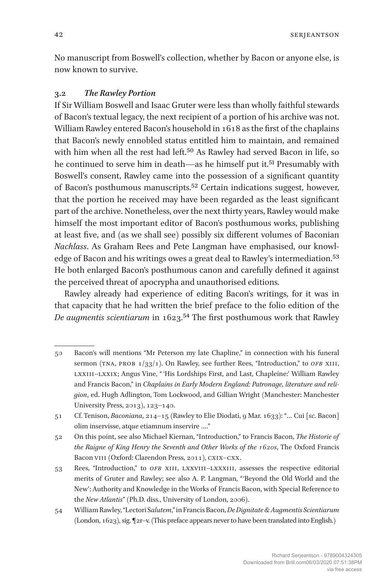No manuscript from Boswell's collection, whether by Bacon or anyone else, is now known to survive.

### **3.2** *The Rawley Portion*

If Sir William Boswell and Isaac Gruter were less than wholly faithful stewards of Bacon's textual legacy, the next recipient of a portion of his archive was not. William Rawley entered Bacon's household in 1618 as the first of the chaplains that Bacon's newly ennobled status entitled him to maintain, and remained with him when all the rest had left.<sup>50</sup> As Rawley had served Bacon in life, so he continued to serve him in death—as he himself put it.<sup>51</sup> Presumably with Boswell's consent, Rawley came into the possession of a significant quantity of Bacon's posthumous manuscripts.52 Certain indications suggest, however, that the portion he received may have been regarded as the least significant part of the archive. Nonetheless, over the next thirty years, Rawley would make himself the most important editor of Bacon's posthumous works, publishing at least five, and (as we shall see) possibly six different volumes of Baconian *Nachlass*. As Graham Rees and Pete Langman have emphasised, our knowledge of Bacon and his writings owes a great deal to Rawley's intermediation.<sup>53</sup> He both enlarged Bacon's posthumous canon and carefully defined it against the perceived threat of apocrypha and unauthorised editions.

Rawley already had experience of editing Bacon's writings, for it was in that capacity that he had written the brief preface to the folio edition of the *De augmentis scientiarum* in 1623.54 The first posthumous work that Rawley

<sup>50</sup> Bacon's will mentions "Mr Peterson my late Chapline," in connection with his funeral sermon (TNA, PROB 1/33/1). On Rawley, see further Rees, "Introduction," to *OFB* XIII, LXXIII-LXXIX; Angus Vine, "His Lordships First, and Last, Chapleine:' William Rawley and Francis Bacon," in *Chaplains in Early Modern England: Patronage, literature and religion*, ed. Hugh Adlington, Tom Lockwood, and Gillian Wright (Manchester: Manchester University Press, 2013), 123–140.

<sup>51</sup> Cf. Tenison, *Baconiana*, 214–15 (Rawley to Elie Diodati, 9 Mar. 1633): "… Cui [*sc*. Bacon] olim inservisse, atq*ue* etiamnum inservire …."

<sup>52</sup> On this point, see also Michael Kiernan, "Introduction," to Francis Bacon, *The Historie of the Raigne of King Henry the Seventh and Other Works of the 1620s*, The Oxford Francis Bacon VIII (Oxford: Clarendon Press, 2011), cxix–cxx.

<sup>53</sup> Rees, "Introduction," to *OFB* XIII, LXXVIII–LXXXIII, assesses the respective editorial merits of Gruter and Rawley; see also A. P. Langman, " 'Beyond the Old World and the New': Authority and Knowledge in the Works of Francis Bacon, with Special Reference to the *New Atlantis*" (Ph.D. diss., University of London, 2006).

<sup>54</sup> William Rawley, "Lectori S*alutem*," in Francis Bacon, *De Dignitate & Augmentis Scientiarum* (London, 1623), sig. ¶2r–v. (This preface appears never to have been translated into English.)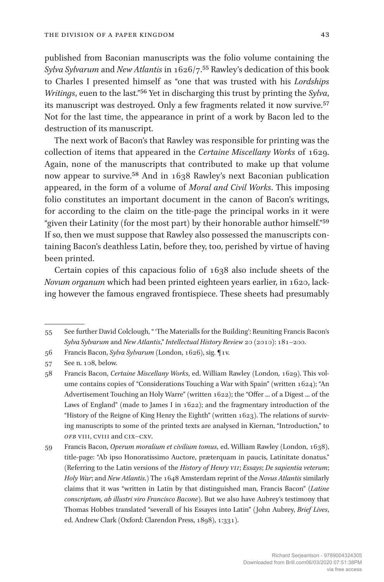published from Baconian manuscripts was the folio volume containing the *Sylva Sylvarum* and *New Atlantis* in 1626/7.55 Rawley's dedication of this book to Charles I presented himself as "one that was trusted with his *Lordships Writings*, euen to the last."56 Yet in discharging this trust by printing the *Sylva*, its manuscript was destroyed. Only a few fragments related it now survive.<sup>57</sup> Not for the last time, the appearance in print of a work by Bacon led to the destruction of its manuscript.

The next work of Bacon's that Rawley was responsible for printing was the collection of items that appeared in the *Certaine Miscellany Works* of 1629. Again, none of the manuscripts that contributed to make up that volume now appear to survive.58 And in 1638 Rawley's next Baconian publication appeared, in the form of a volume of *Moral and Civil Works*. This imposing folio constitutes an important document in the canon of Bacon's writings, for according to the claim on the title-page the principal works in it were "given their Latinity (for the most part) by their honorable author himself."<sup>59</sup> If so, then we must suppose that Rawley also possessed the manuscripts containing Bacon's deathless Latin, before they, too, perished by virtue of having been printed.

Certain copies of this capacious folio of 1638 also include sheets of the *Novum organum* which had been printed eighteen years earlier, in 1620, lacking however the famous engraved frontispiece. These sheets had presumably

<sup>55</sup> See further David Colclough, " 'The Materialls for the Building': Reuniting Francis Bacon's *Sylva Sylvarum* and *New Atlantis*," *Intellectual History Review* 20 (2010): 181–200.

<sup>56</sup> Francis Bacon, *Sylva Sylvarum* (London, 1626), sig. ¶1v.

<sup>57</sup> See n. 108, below.

<sup>58</sup> Francis Bacon, *Certaine Miscellany Works*, ed. William Rawley (London, 1629). This volume contains copies of "Considerations Touching a War with Spain" (written 1624); "An Advertisement Touching an Holy Warre" (written 1622); the "Offer ... of a Digest ... of the Laws of England" (made to James I in 1622); and the fragmentary introduction of the "History of the Reigne of King Henry the Eighth" (written 1623). The relations of surviving manuscripts to some of the printed texts are analysed in Kiernan, "Introduction," to *OFB* VIII, cviii and cix–cxv.

<sup>59</sup> Francis Bacon, *Operum moralium et civilium tomus*, ed. William Rawley (London, 1638), title-page: "Ab ipso Honoratissimo Auctore, præterquam in paucis, Latinitate donatus." (Referring to the Latin versions of the *History of Henry VII*; *Essays*; *De sapientia veterum*; *Holy War*; and *New Atlantis*.) The 1648 Amsterdam reprint of the *Novus Atlantis* similarly claims that it was "written in Latin by that distinguished man, Francis Bacon" (*Latine conscriptum, ab illustri viro Francisco Bacone*). But we also have Aubrey's testimony that Thomas Hobbes translated "severall of his Essayes into Latin" (John Aubrey, *Brief Lives*, ed. Andrew Clark (Oxford: Clarendon Press, 1898), 1:331).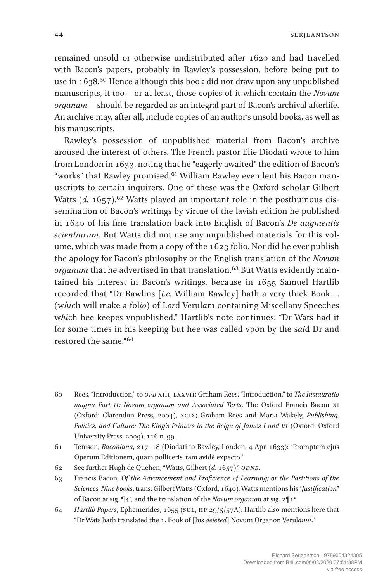44 SERJEANTSON

remained unsold or otherwise undistributed after 1620 and had travelled with Bacon's papers, probably in Rawley's possession, before being put to use in 1638.60 Hence although this book did not draw upon any unpublished manuscripts, it too—or at least, those copies of it which contain the *Novum organum*—should be regarded as an integral part of Bacon's archival afterlife. An archive may, after all, include copies of an author's unsold books, as well as his manuscripts.

Rawley's possession of unpublished material from Bacon's archive aroused the interest of others. The French pastor Elie Diodati wrote to him from London in 1633, noting that he "eagerly awaited" the edition of Bacon's "works" that Rawley promised.61 William Rawley even lent his Bacon manuscripts to certain inquirers. One of these was the Oxford scholar Gilbert Watts  $(d. 1657)$ .<sup>62</sup> Watts played an important role in the posthumous dissemination of Bacon's writings by virtue of the lavish edition he published in 1640 of his fine translation back into English of Bacon's *De augmentis scientiarum*. But Watts did not use any unpublished materials for this volume, which was made from a copy of the 1623 folio. Nor did he ever publish the apology for Bacon's philosophy or the English translation of the *Novum organum* that he advertised in that translation.<sup>63</sup> But Watts evidently maintained his interest in Bacon's writings, because in 1655 Samuel Hartlib recorded that "Dr Rawlins [*i.e.* William Rawley] hath a very thick Book ... (w*hi*ch will make a fol*io*) of L*or*d Verul*a*m containing Miscellany Speeches w*hi*ch hee keepes vnpublished." Hartlib's note continues: "Dr Wats had it for some times in his keeping but hee was called vpon by the s*ai*d Dr and restored the same."64

<sup>60</sup> Rees, "Introduction," to *OFB* XIII, lxxvii; Graham Rees, "Introduction," to *The Instauratio magna Part II: Novum organum and Associated Texts*, The Oxford Francis Bacon XI (Oxford: Clarendon Press, 2004), xcix; Graham Rees and Maria Wakely, *Publishing, Politics, and Culture: The King's Printers in the Reign of James I and VI* (Oxford: Oxford University Press, 2009), 116 n. 99.

<sup>61</sup> Tenison, *Baconiana*, 217–18 (Diodati to Rawley, London, 4 Apr. 1633): "Promptam ejus Operum Editionem, quam polliceris, tam avidè expecto."

<sup>62</sup> See further Hugh de Quehen, "Watts, Gilbert (*d*. 1657)," *ODNB*.

<sup>63</sup> Francis Bacon, *Of the Advancement and Proficience of Learning; or the Partitions of the Sciences. Nine books*, trans. Gilbert Watts (Oxford, 1640). Watts mentions his "*Justification*" of Bacon at sig. ¶4r, and the translation of the *Novum organum* at sig. 2¶1v.

<sup>64</sup> *Hartlib Papers*, Ephemerides, 1655 (SUL, HP 29/5/57A). Hartlib also mentions here that "Dr Wats hath translated the 1. Book of [his *deleted*] Novum Organon Verul*amii*."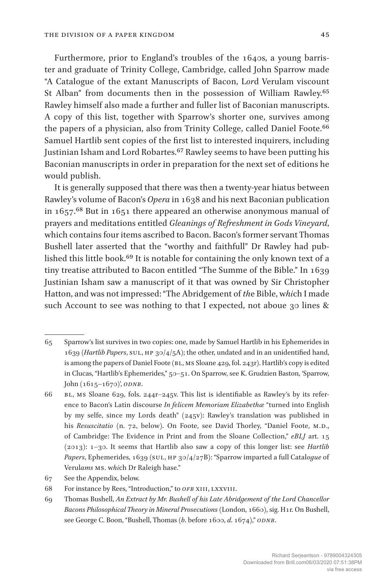Furthermore, prior to England's troubles of the 1640s, a young barrister and graduate of Trinity College, Cambridge, called John Sparrow made "A Catalogue of the extant Manuscripts of Bacon, L*or*d Verulam viscount St Alban" from documents then in the possession of William Rawley.65 Rawley himself also made a further and fuller list of Baconian manuscripts. A copy of this list, together with Sparrow's shorter one, survives among the papers of a physician, also from Trinity College, called Daniel Foote.66 Samuel Hartlib sent copies of the first list to interested inquirers, including Justinian Isham and Lord Robartes.67 Rawley seems to have been putting his Baconian manuscripts in order in preparation for the next set of editions he would publish.

It is generally supposed that there was then a twenty-year hiatus between Rawley's volume of Bacon's *Opera* in 1638 and his next Baconian publication in 1657.68 But in 1651 there appeared an otherwise anonymous manual of prayers and meditations entitled *Gleanings of Refreshment in Gods Vineyard*, which contains four items ascribed to Bacon. Bacon's former servant Thomas Bushell later asserted that the "worthy and faithfull" Dr Rawley had published this little book.69 It is notable for containing the only known text of a tiny treatise attributed to Bacon entitled "The Summe of the Bible." In 1639 Justinian Isham saw a manuscript of it that was owned by Sir Christopher Hatton, and was not impressed: "The Abridgement of *th*e Bible, w*hi*ch I made such Account to see was nothing to that I expected, not aboue 30 lines &

- 65 Sparrow's list survives in two copies: one, made by Samuel Hartlib in his Ephemerides in 1639 (*Hartlib Papers*, SUL, HP 30/4/5A); the other, undated and in an unidentified hand, is among the papers of Daniel Foote (BL, MS Sloane 429, fol. 243r). Hartlib's copy is edited in Clucas, "Hartlib's Ephemerides," 50–51. On Sparrow, see K. Grudzien Baston, 'Sparrow, John (1615–1670)', *ODNB*.
- 66 BL, MS Sloane 629, fols. 244r–245v. This list is identifiable as Rawley's by its reference to Bacon's Latin discourse *In felicem Memoriam Elizabethæ* "turned into English by my selfe, since my Lords death" (245v): Rawley's translation was published in his *Resuscitatio* (n. 72, below). On Foote, see David Thorley, "Daniel Foote, M.D., of Cambridge: The Evidence in Print and from the Sloane Collection," *eBLJ* art. 15 (2013): 1–30. It seems that Hartlib also saw a copy of this longer list: see *Hartlib Papers*, Ephemerides, 1639 (SUL, HP 30/4/27B): "Sparrow imparted a full Catal*ogue* of Verul*ams* MS. w*hi*ch Dr Raleigh hase."
- 67 See the Appendix, below.
- 68 For instance by Rees, "Introduction," to *OFB* XIII, lxxviii.

<sup>69</sup> Thomas Bushell, *An Extract by Mr. Bushell of his Late Abridgement of the Lord Chancellor Bacons Philosophical Theory in Mineral Prosecutions* (London, 1660), sig. H1r. On Bushell, see George C. Boon, "Bushell, Thomas (*b*. before 1600, *d*. 1674)," *ODNB*.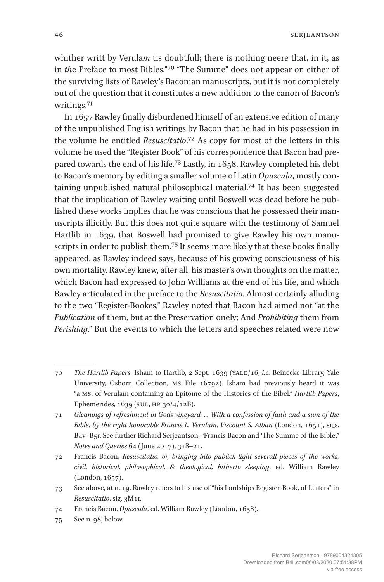46 SERJEANTSON

whither writt by Verula*m* tis doubtfull; there is nothing neere that, in it, as in *th*e Preface to most Bibles."70 "The Summe" does not appear on either of the surviving lists of Rawley's Baconian manuscripts, but it is not completely out of the question that it constitutes a new addition to the canon of Bacon's writings.71

In 1657 Rawley finally disburdened himself of an extensive edition of many of the unpublished English writings by Bacon that he had in his possession in the volume he entitled *Resuscitatio*.72 As copy for most of the letters in this volume he used the "Register Book" of his correspondence that Bacon had prepared towards the end of his life.73 Lastly, in 1658, Rawley completed his debt to Bacon's memory by editing a smaller volume of Latin *Opuscula*, mostly containing unpublished natural philosophical material.74 It has been suggested that the implication of Rawley waiting until Boswell was dead before he published these works implies that he was conscious that he possessed their manuscripts illicitly. But this does not quite square with the testimony of Samuel Hartlib in 1639, that Boswell had promised to give Rawley his own manuscripts in order to publish them.<sup>75</sup> It seems more likely that these books finally appeared, as Rawley indeed says, because of his growing consciousness of his own mortality. Rawley knew, after all, his master's own thoughts on the matter, which Bacon had expressed to John Williams at the end of his life, and which Rawley articulated in the preface to the *Resuscitatio*. Almost certainly alluding to the two "Register-Bookes," Rawley noted that Bacon had aimed not "at the *Publication* of them, but at the Preservation onely; And *Prohibiting* them from *Perishing*." But the events to which the letters and speeches related were now

72 Francis Bacon, *Resuscitatio, or, bringing into publick light severall pieces of the works, civil, historical, philosophical, & theological, hitherto sleeping*, ed. William Rawley (London, 1657).

- 73 See above, at n. 19. Rawley refers to his use of "his Lordships Register-Book, of Letters" in *Resuscitatio*, sig. 3M1r.
- 74 Francis Bacon, *Opuscula*, ed. William Rawley (London, 1658).
- 75 See n. 98, below.

<sup>70</sup> *The Hartlib Papers*, Isham to Hartlib, 2 Sept. 1639 (YALE/16, *i.e.* Beinecke Library, Yale University, Osborn Collection, MS File 16792). Isham had previously heard it was "a MS. of Verulam containing an Epitome of the Histories of the Bibel." *Hartlib Papers*, Ephemerides, 1639 (SUL, HP 30/4/12B).

<sup>71</sup> *Gleanings of refreshment in Gods vineyard. ... With a confession of faith and a sum of the Bible, by the right honorable Francis L. Verulam, Viscount S. Alban* (London, 1651), sigs. B4v–B5r. See further Richard Serjeantson, "Francis Bacon and 'The Summe of the Bible'," *Notes and Queries* 64 (June 2017), 318–21.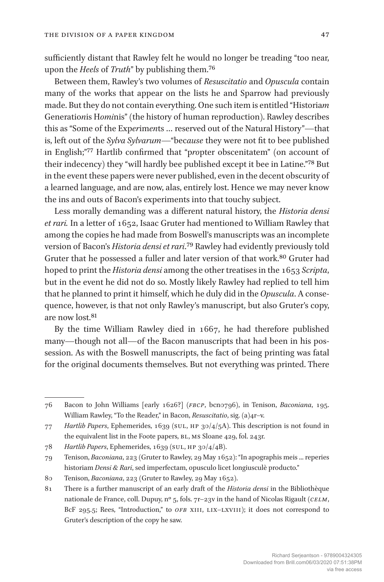sufficiently distant that Rawley felt he would no longer be treading "too near, upon the *Heels* of *Truth*" by publishing them.76

Between them, Rawley's two volumes of *Resuscitatio* and *Opuscula* contain many of the works that appear on the lists he and Sparrow had previously made. But they do not contain everything. One such item is entitled "Historia*m* Generatio*n*is H*omi*nis" (the history of human reproduction). Rawley describes this as "Some of the Exp*er*im*en*ts … reserved out of the Natural History"—that is, left out of the *Sylva Sylvarum*—"bec*ause* they were not fit to bee published in English;"77 Hartlib confirmed that "p*ro*pter obscenitatem" (on account of their indecency) they "will hardly bee published except it bee in Latine."78 But in the event these papers were never published, even in the decent obscurity of a learned language, and are now, alas, entirely lost. Hence we may never know the ins and outs of Bacon's experiments into that touchy subject.

Less morally demanding was a different natural history, the *Historia densi et rari.* In a letter of 1652, Isaac Gruter had mentioned to William Rawley that among the copies he had made from Boswell's manuscripts was an incomplete version of Bacon's *Historia densi et rari*.79 Rawley had evidently previously told Gruter that he possessed a fuller and later version of that work.<sup>80</sup> Gruter had hoped to print the *Historia densi* among the other treatises in the 1653 *Scripta*, but in the event he did not do so. Mostly likely Rawley had replied to tell him that he planned to print it himself, which he duly did in the *Opuscula*. A consequence, however, is that not only Rawley's manuscript, but also Gruter's copy, are now lost.81

By the time William Rawley died in 1667, he had therefore published many—though not all—of the Bacon manuscripts that had been in his possession. As with the Boswell manuscripts, the fact of being printing was fatal for the original documents themselves. But not everything was printed. There

<sup>76</sup> Bacon to John Williams [early 1626?] (FBCP, bcn0796), in Tenison, *Baconiana*, 195. William Rawley, "To the Reader," in Bacon, *Resuscitatio*, sig. (a)4r–v.

<sup>77</sup> *Hartlib Papers*, Ephemerides, 1639 (SUL, HP 30/4/5A). This description is not found in the equivalent list in the Foote papers, BL, MS Sloane 429, fol. 243r.

<sup>78</sup> *Hartlib Papers*, Ephemerides, 1639 (SUL, HP 30/4/4B).

<sup>79</sup> Tenison, *Baconiana*, 223 (Gruter to Rawley, 29 May 1652): "In apographis meis ... reperies historiam *Densi & Rari*, sed imperfectam, opusculo licet longiusculè producto."

<sup>80</sup> Tenison, *Baconiana*, 223 (Gruter to Rawley, 29 May 1652).

<sup>81</sup> There is a further manuscript of an early draft of the *Historia densi* in the Bibliothèque nationale de France, coll. Dupuy, nº 5, fols. 7r–23v in the hand of Nicolas Rigault (*CELM*, BcF 295.5; Rees, "Introduction," to *OFB* XIII, LIX-LXVIII); it does not correspond to Gruter's description of the copy he saw.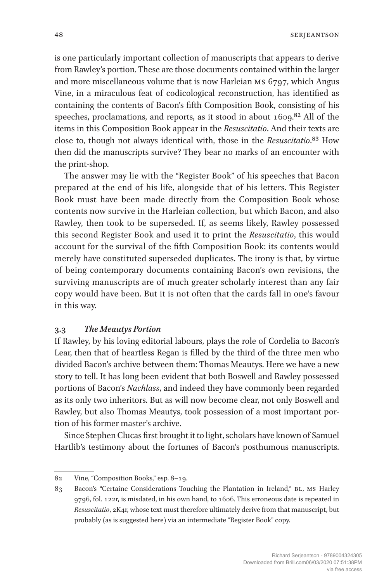48 SERJEANTSON

is one particularly important collection of manuscripts that appears to derive from Rawley's portion. These are those documents contained within the larger and more miscellaneous volume that is now Harleian MS 6797, which Angus Vine, in a miraculous feat of codicological reconstruction, has identified as containing the contents of Bacon's fifth Composition Book, consisting of his speeches, proclamations, and reports, as it stood in about 1609.<sup>82</sup> All of the items in this Composition Book appear in the *Resuscitatio*. And their texts are close to, though not always identical with, those in the *Resuscitatio*.83 How then did the manuscripts survive? They bear no marks of an encounter with the print-shop.

The answer may lie with the "Register Book" of his speeches that Bacon prepared at the end of his life, alongside that of his letters. This Register Book must have been made directly from the Composition Book whose contents now survive in the Harleian collection, but which Bacon, and also Rawley, then took to be superseded. If, as seems likely, Rawley possessed this second Register Book and used it to print the *Resuscitatio*, this would account for the survival of the fifth Composition Book: its contents would merely have constituted superseded duplicates. The irony is that, by virtue of being contemporary documents containing Bacon's own revisions, the surviving manuscripts are of much greater scholarly interest than any fair copy would have been. But it is not often that the cards fall in one's favour in this way.

#### **3.3** *The Meautys Portion*

If Rawley, by his loving editorial labours, plays the role of Cordelia to Bacon's Lear, then that of heartless Regan is filled by the third of the three men who divided Bacon's archive between them: Thomas Meautys. Here we have a new story to tell. It has long been evident that both Boswell and Rawley possessed portions of Bacon's *Nachlass*, and indeed they have commonly been regarded as its only two inheritors. But as will now become clear, not only Boswell and Rawley, but also Thomas Meautys, took possession of a most important portion of his former master's archive.

Since Stephen Clucas first brought it to light, scholars have known of Samuel Hartlib's testimony about the fortunes of Bacon's posthumous manuscripts.

<sup>82</sup> Vine, "Composition Books," esp. 8–19.

<sup>83</sup> Bacon's "Certaine Considerations Touching the Plantation in Ireland," BL, MS Harley 9796, fol. 122r, is misdated, in his own hand, to 1606. This erroneous date is repeated in *Resuscitatio*, 2K4r, whose text must therefore ultimately derive from that manuscript, but probably (as is suggested here) via an intermediate "Register Book" copy.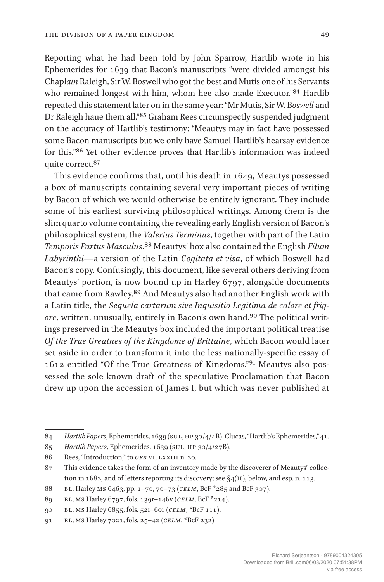Reporting what he had been told by John Sparrow, Hartlib wrote in his Ephemerides for 1639 that Bacon's manuscripts "were divided amongst his Chapl*ain* Raleigh, Sir W. Boswell who got the best and Mutis one of his Servants who remained longest with him, whom hee also made Executor."84 Hartlib repeated this statement later on in the same year: "Mr Mutis, Sir W. B*oswell* and Dr Raleigh haue them all."85 Graham Rees circumspectly suspended judgment on the accuracy of Hartlib's testimony: "Meautys may in fact have possessed some Bacon manuscripts but we only have Samuel Hartlib's hearsay evidence for this."86 Yet other evidence proves that Hartlib's information was indeed quite correct.87

This evidence confirms that, until his death in 1649, Meautys possessed a box of manuscripts containing several very important pieces of writing by Bacon of which we would otherwise be entirely ignorant. They include some of his earliest surviving philosophical writings. Among them is the slim quarto volume containing the revealing early English version of Bacon's philosophical system, the *Valerius Terminus*, together with part of the Latin *Temporis Partus Masculus*.88 Meautys' box also contained the English *Filum Labyrinthi*—a version of the Latin *Cogitata et visa*, of which Boswell had Bacon's copy. Confusingly, this document, like several others deriving from Meautys' portion, is now bound up in Harley 6797, alongside documents that came from Rawley.89 And Meautys also had another English work with a Latin title, the *Sequela cartarum sive Inquisitio Legitima de calore et frigore*, written, unusually, entirely in Bacon's own hand.90 The political writings preserved in the Meautys box included the important political treatise *Of the True Greatnes of the Kingdome of Brittaine*, which Bacon would later set aside in order to transform it into the less nationally-specific essay of 1612 entitled "Of the True Greatness of Kingdoms."91 Meautys also possessed the sole known draft of the speculative Proclamation that Bacon drew up upon the accession of James I, but which was never published at

<sup>84</sup> *Hartlib Papers*, Ephemerides, 1639 (SUL, HP 30/4/4B). Clucas, "Hartlib's Ephemerides," 41.

<sup>85</sup> *Hartlib Papers*, Ephemerides, 1639 (SUL, HP 30/4/27B).

<sup>86</sup> Rees, "Introduction," to *OFB* VI, LXXIII n. 20.

<sup>87</sup> This evidence takes the form of an inventory made by the discoverer of Meautys' collection in 1682, and of letters reporting its discovery; see  $\S_4(II)$ , below, and esp. n. 113.

<sup>88</sup> BL, Harley MS 6463, pp. 1–70, 70–73 (*CELM*, BcF \*285 and BcF 307).

<sup>89</sup> BL, MS Harley 6797, fols. 139r–146v (*CELM*, BcF \*214).

<sup>90</sup> BL, MS Harley 6855, fols. 52r–60r (*CELM*, \*BcF 111).

<sup>91</sup> BL, MS Harley 7021, fols. 25–42 (*CELM*, \*BcF 232)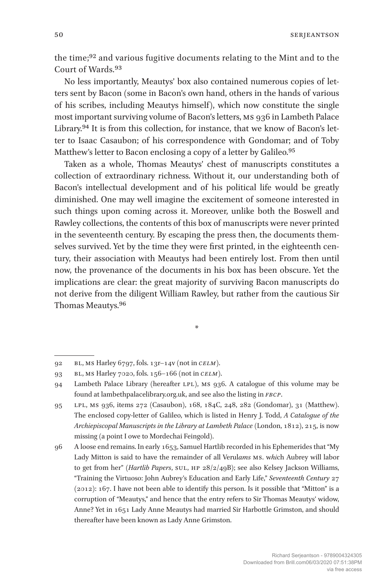50 SERJEANTSON

the time;92 and various fugitive documents relating to the Mint and to the Court of Wards.93

No less importantly, Meautys' box also contained numerous copies of letters sent by Bacon (some in Bacon's own hand, others in the hands of various of his scribes, including Meautys himself), which now constitute the single most important surviving volume of Bacon's letters, MS 936 in Lambeth Palace Library.94 It is from this collection, for instance, that we know of Bacon's letter to Isaac Casaubon; of his correspondence with Gondomar; and of Toby Matthew's letter to Bacon enclosing a copy of a letter by Galileo.<sup>95</sup>

Taken as a whole, Thomas Meautys' chest of manuscripts constitutes a collection of extraordinary richness. Without it, our understanding both of Bacon's intellectual development and of his political life would be greatly diminished. One may well imagine the excitement of someone interested in such things upon coming across it. Moreover, unlike both the Boswell and Rawley collections, the contents of this box of manuscripts were never printed in the seventeenth century. By escaping the press then, the documents themselves survived. Yet by the time they were first printed, in the eighteenth century, their association with Meautys had been entirely lost. From then until now, the provenance of the documents in his box has been obscure. Yet the implications are clear: the great majority of surviving Bacon manuscripts do not derive from the diligent William Rawley, but rather from the cautious Sir Thomas Meautys.96

\*

<sup>92</sup> BL, MS Harley 6797, fols. 13r–14v (not in *CELM*).

<sup>93</sup> BL, MS Harley 7020, fols. 156–166 (not in *CELM*).

<sup>94</sup> Lambeth Palace Library (hereafter LPL), MS 936. A catalogue of this volume may be found at lambethpalacelibrary.org.uk, and see also the listing in *FBCP*.

<sup>95</sup> LPL, MS 936, items 272 (Casaubon), 168, 184C, 248, 282 (Gondomar), 31 (Matthew). The enclosed copy-letter of Galileo, which is listed in Henry J. Todd, *A Catalogue of the Archiepiscopal Manuscripts in the Library at Lambeth Palace* (London, 1812), 215, is now missing (a point I owe to Mordechai Feingold).

<sup>96</sup> A loose end remains. In early 1653, Samuel Hartlib recorded in his Ephemerides that "My Lady Mitton is said to have the remainder of all Verul*ams* MS. w*hi*ch Aubrey will labor to get from her" (*Hartlib Papers*, SUL, HP 28/2/49B); see also Kelsey Jackson Williams, "Training the Virtuoso: John Aubrey's Education and Early Life," *Seventeenth Century* 27 (2012): 167. I have not been able to identify this person. Is it possible that "Mitton" is a corruption of "Meautys," and hence that the entry refers to Sir Thomas Meautys' widow, Anne? Yet in 1651 Lady Anne Meautys had married Sir Harbottle Grimston, and should thereafter have been known as Lady Anne Grimston.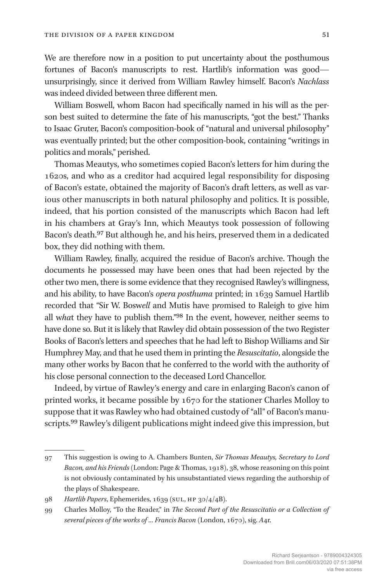We are therefore now in a position to put uncertainty about the posthumous fortunes of Bacon's manuscripts to rest. Hartlib's information was good unsurprisingly, since it derived from William Rawley himself. Bacon's *Nachlass* was indeed divided between three different men.

William Boswell, whom Bacon had specifically named in his will as the person best suited to determine the fate of his manuscripts, "got the best." Thanks to Isaac Gruter, Bacon's composition-book of "natural and universal philosophy" was eventually printed; but the other composition-book, containing "writings in politics and morals," perished.

Thomas Meautys, who sometimes copied Bacon's letters for him during the 1620s, and who as a creditor had acquired legal responsibility for disposing of Bacon's estate, obtained the majority of Bacon's draft letters, as well as various other manuscripts in both natural philosophy and politics. It is possible, indeed, that his portion consisted of the manuscripts which Bacon had left in his chambers at Gray's Inn, which Meautys took possession of following Bacon's death.97 But although he, and his heirs, preserved them in a dedicated box, they did nothing with them.

William Rawley, finally, acquired the residue of Bacon's archive. Though the documents he possessed may have been ones that had been rejected by the other two men, there is some evidence that they recognised Rawley's willingness, and his ability, to have Bacon's *opera posthuma* printed; in 1639 Samuel Hartlib recorded that "Sir W. Bosw*ell* and Mutis have p*ro*mised to Raleigh to give him all w*ha*t they have to publish them."98 In the event, however, neither seems to have done so. But it is likely that Rawley did obtain possession of the two Register Books of Bacon's letters and speeches that he had left to Bishop Williams and Sir Humphrey May, and that he used them in printing the *Resuscitatio*, alongside the many other works by Bacon that he conferred to the world with the authority of his close personal connection to the deceased Lord Chancellor.

Indeed, by virtue of Rawley's energy and care in enlarging Bacon's canon of printed works, it became possible by 1670 for the stationer Charles Molloy to suppose that it was Rawley who had obtained custody of "all" of Bacon's manuscripts.<sup>99</sup> Rawley's diligent publications might indeed give this impression, but

<sup>97</sup> This suggestion is owing to A. Chambers Bunten, *Sir Thomas Meautys, Secretary to Lord Bacon, and his Friends* (London: Page & Thomas, 1918), 38, whose reasoning on this point is not obviously contaminated by his unsubstantiated views regarding the authorship of the plays of Shakespeare.

<sup>98</sup> *Hartlib Papers*, Ephemerides, 1639 (SUL, HP 30/4/4B).

<sup>99</sup> Charles Molloy, "To the Reader," in *The Second Part of the Resuscitatio or a Collection of several pieces of the works of ... Francis Bacon* (London, 1670), sig. *A*4r.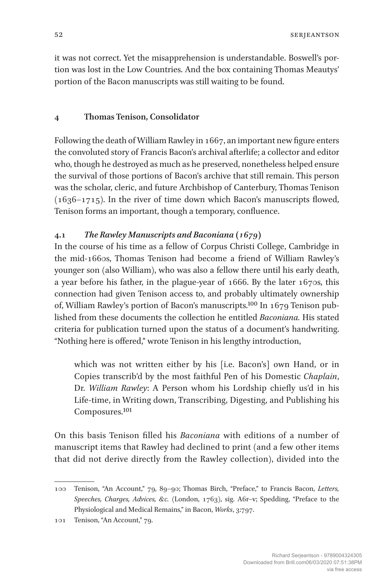it was not correct. Yet the misapprehension is understandable. Boswell's portion was lost in the Low Countries. And the box containing Thomas Meautys' portion of the Bacon manuscripts was still waiting to be found.

#### **4 Thomas Tenison, Consolidator**

Following the death of William Rawley in 1667, an important new figure enters the convoluted story of Francis Bacon's archival afterlife; a collector and editor who, though he destroyed as much as he preserved, nonetheless helped ensure the survival of those portions of Bacon's archive that still remain. This person was the scholar, cleric, and future Archbishop of Canterbury, Thomas Tenison  $(1636 - 1715)$ . In the river of time down which Bacon's manuscripts flowed, Tenison forms an important, though a temporary, confluence.

#### **4.1** *The Rawley Manuscripts and Baconiana (1679)*

In the course of his time as a fellow of Corpus Christi College, Cambridge in the mid-1660s, Thomas Tenison had become a friend of William Rawley's younger son (also William), who was also a fellow there until his early death, a year before his father, in the plague-year of 1666. By the later 1670s, this connection had given Tenison access to, and probably ultimately ownership of, William Rawley's portion of Bacon's manuscripts.100 In 1679 Tenison published from these documents the collection he entitled *Baconiana.* His stated criteria for publication turned upon the status of a document's handwriting. "Nothing here is offered," wrote Tenison in his lengthy introduction,

which was not written either by his [i.e. Bacon's] own Hand, or in Copies transcrib'd by the most faithful Pen of his Domestic *Chaplain*, Dr. *William Rawley*: A Person whom his Lordship chiefly us'd in his Life-time, in Writing down, Transcribing, Digesting, and Publishing his Composures.101

On this basis Tenison filled his *Baconiana* with editions of a number of manuscript items that Rawley had declined to print (and a few other items that did not derive directly from the Rawley collection), divided into the

<sup>100</sup> Tenison, "An Account," 79, 89–90; Thomas Birch, "Preface," to Francis Bacon, *Letters, Speeches, Charges, Advices, &c.* (London, 1763), sig. A6r–v; Spedding, "Preface to the Physiological and Medical Remains," in Bacon, *Works*, 3:797.

<sup>101</sup> Tenison, "An Account," 79.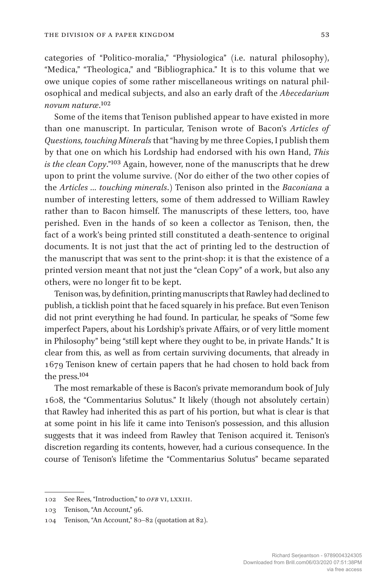categories of "Politico-moralia," "Physiologica" (i.e. natural philosophy), "Medica," "Theologica," and "Bibliographica." It is to this volume that we owe unique copies of some rather miscellaneous writings on natural philosophical and medical subjects, and also an early draft of the *Abecedarium novum naturæ*.102

Some of the items that Tenison published appear to have existed in more than one manuscript. In particular, Tenison wrote of Bacon's *Articles of Questions, touching Minerals* that "having by me three Copies, I publish them by that one on which his Lordship had endorsed with his own Hand, *This is the clean Copy*."103 Again, however, none of the manuscripts that he drew upon to print the volume survive. (Nor do either of the two other copies of the *Articles ... touching minerals*.) Tenison also printed in the *Baconiana* a number of interesting letters, some of them addressed to William Rawley rather than to Bacon himself. The manuscripts of these letters, too, have perished. Even in the hands of so keen a collector as Tenison, then, the fact of a work's being printed still constituted a death-sentence to original documents. It is not just that the act of printing led to the destruction of the manuscript that was sent to the print-shop: it is that the existence of a printed version meant that not just the "clean Copy" of a work, but also any others, were no longer fit to be kept.

Tenison was, by definition, printing manuscripts that Rawley had declined to publish, a ticklish point that he faced squarely in his preface. But even Tenison did not print everything he had found. In particular, he speaks of "Some few imperfect Papers, about his Lordship's private Affairs, or of very little moment in Philosophy" being "still kept where they ought to be, in private Hands." It is clear from this, as well as from certain surviving documents, that already in 1679 Tenison knew of certain papers that he had chosen to hold back from the press.104

The most remarkable of these is Bacon's private memorandum book of July 1608, the "Commentarius Solutus." It likely (though not absolutely certain) that Rawley had inherited this as part of his portion, but what is clear is that at some point in his life it came into Tenison's possession, and this allusion suggests that it was indeed from Rawley that Tenison acquired it. Tenison's discretion regarding its contents, however, had a curious consequence. In the course of Tenison's lifetime the "Commentarius Solutus" became separated

<sup>102</sup> See Rees, "Introduction," to *OFB* VI, lxxiii.

<sup>103</sup> Tenison, "An Account," 96.

<sup>104</sup> Tenison, "An Account," 80–82 (quotation at 82).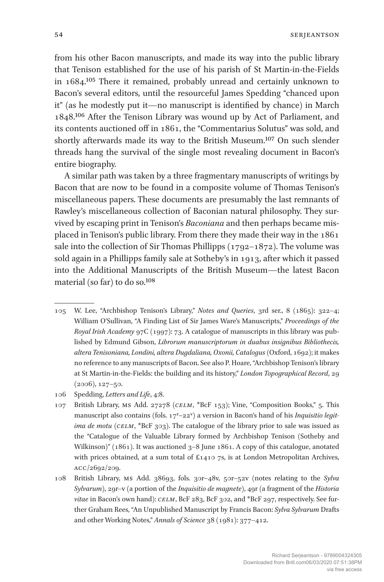54 Serjeantson

from his other Bacon manuscripts, and made its way into the public library that Tenison established for the use of his parish of St Martin-in-the-Fields in 1684.105 There it remained, probably unread and certainly unknown to Bacon's several editors, until the resourceful James Spedding "chanced upon it" (as he modestly put it—no manuscript is identified by chance) in March 1848.106 After the Tenison Library was wound up by Act of Parliament, and its contents auctioned off in 1861, the "Commentarius Solutus" was sold, and shortly afterwards made its way to the British Museum.107 On such slender threads hang the survival of the single most revealing document in Bacon's entire biography.

A similar path was taken by a three fragmentary manuscripts of writings by Bacon that are now to be found in a composite volume of Thomas Tenison's miscellaneous papers. These documents are presumably the last remnants of Rawley's miscellaneous collection of Baconian natural philosophy. They survived by escaping print in Tenison's *Baconiana* and then perhaps became misplaced in Tenison's public library. From there they made their way in the 1861 sale into the collection of Sir Thomas Phillipps  $(1792-1872)$ . The volume was sold again in a Phillipps family sale at Sotheby's in 1913, after which it passed into the Additional Manuscripts of the British Museum—the latest Bacon material (so far) to do so.108

- 105 W. Lee, "Archbishop Tenison's Library," *Notes and Queries*, 3rd ser., 8 (1865): 322–4; William O'Sullivan, "A Finding List of Sir James Ware's Manuscripts," *Proceedings of the Royal Irish Academy* 97C (1997): 73. A catalogue of manuscripts in this library was published by Edmund Gibson, *Librorum manuscriptorum in duabus insignibus Bibliothecis, altera Tenisoniana, Londini, altera Dugdaliana, Oxonii, Catalogus* (Oxford, 1692); it makes no reference to any manuscripts of Bacon. See also P. Hoare, "Archbishop Tenison's library at St Martin-in-the-Fields: the building and its history," *London Topographical Record*, 29 (2006), 127–50.
- 106 Spedding, *Letters and Life*, 4:8.
- 107 British Library, MS Add. 27278 (*CELM*, \*BcF 153); Vine, "Composition Books," 5. This manuscript also contains (fols. 17r–22v) a version in Bacon's hand of his *Inquisitio legitima de motu* (*CELM*, \*BcF 303). The catalogue of the library prior to sale was issued as the "Catalogue of the Valuable Library formed by Archbishop Tenison (Sotheby and Wilkinson)" (1861). It was auctioned 3–8 June 1861. A copy of this catalogue, anotated with prices obtained, at a sum total of £1410 7s, is at London Metropolitan Archives, ACC/2692/209.
- 108 British Library, MS Add. 38693, fols. 30r–48v, 50r–52v (notes relating to the *Sylva Sylvarum*), 29r–v (a portion of the *Inquisitio de magnete*), 49r (a fragment of the *Historia vitae* in Bacon's own hand): *CELM*, BcF 283, BcF 302, and \*BcF 297, respectively. See further Graham Rees, "An Unpublished Manuscript by Francis Bacon: *Sylva Sylvarum* Drafts and other Working Notes," *Annals of Science* 38 (1981): 377–412.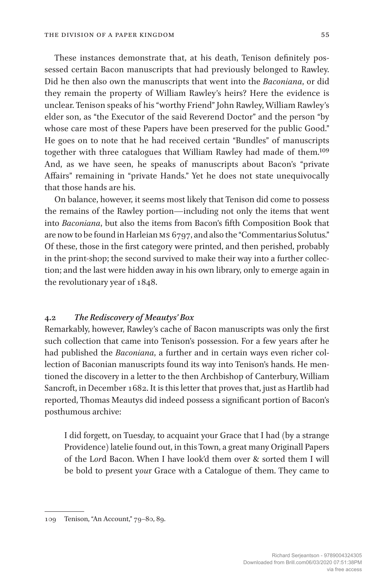These instances demonstrate that, at his death, Tenison definitely possessed certain Bacon manuscripts that had previously belonged to Rawley. Did he then also own the manuscripts that went into the *Baconiana*, or did they remain the property of William Rawley's heirs? Here the evidence is unclear. Tenison speaks of his "worthy Friend" John Rawley, William Rawley's elder son, as "the Executor of the said Reverend Doctor" and the person "by whose care most of these Papers have been preserved for the public Good." He goes on to note that he had received certain "Bundles" of manuscripts together with three catalogues that William Rawley had made of them.109 And, as we have seen, he speaks of manuscripts about Bacon's "private Affairs" remaining in "private Hands." Yet he does not state unequivocally that those hands are his.

On balance, however, it seems most likely that Tenison did come to possess the remains of the Rawley portion—including not only the items that went into *Baconiana*, but also the items from Bacon's fifth Composition Book that are now to be found in Harleian MS 6797, and also the "Commentarius Solutus." Of these, those in the first category were printed, and then perished, probably in the print-shop; the second survived to make their way into a further collection; and the last were hidden away in his own library, only to emerge again in the revolutionary year of 1848.

# **4.2** *The Rediscovery of Meautys' Box*

Remarkably, however, Rawley's cache of Bacon manuscripts was only the first such collection that came into Tenison's possession. For a few years after he had published the *Baconiana*, a further and in certain ways even richer collection of Baconian manuscripts found its way into Tenison's hands. He mentioned the discovery in a letter to the then Archbishop of Canterbury, William Sancroft, in December 1682. It is this letter that proves that, just as Hartlib had reported, Thomas Meautys did indeed possess a significant portion of Bacon's posthumous archive:

I did forgett, on Tuesday, to acquaint your Grace that I had (by a strange Providence) latelie found out, in this Town, a great many Originall Papers of the L*or*d Bacon. When I have look'd them over & sorted them I will be bold to p*re*sent y*ou*r Grace w*i*th a Catalogue of them. They came to

<sup>109</sup> Tenison, "An Account," 79–80, 89.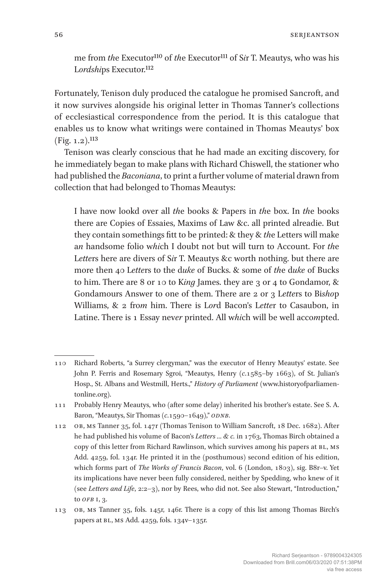me from *the Executor*<sup>110</sup> of *the Executor*<sup>111</sup> of *Sir T*. Meautys, who was his Lordships Executor.<sup>112</sup>

Fortunately, Tenison duly produced the catalogue he promised Sancroft, and it now survives alongside his original letter in Thomas Tanner's collections of ecclesiastical correspondence from the period. It is this catalogue that enables us to know what writings were contained in Thomas Meautys' box  $(Fig. 1.2).$ <sup>113</sup>

Tenison was clearly conscious that he had made an exciting discovery, for he immediately began to make plans with Richard Chiswell, the stationer who had published the *Baconiana*, to print a further volume of material drawn from collection that had belonged to Thomas Meautys:

I have now lookd over all *th*e books & Papers in *th*e box. In *th*e books there are Copies of Essaies, Maxims of Law &c. all printed alreadie. But they contain somethings fitt to be printed: & they & *th*e Letters will make a*n* handsome folio w*hi*ch I doubt not but will turn to Account. For *th*e L*ette*rs here are divers of S*i*r T. Meautys &c worth nothing. but there are more then 40 L*ette*rs to the d*uke* of Bucks. & some of *th*e d*uke* of Bucks to him. There are 8 or 10 to K*ing* James. they are 3 or 4 to Gondamor, & Gondamours Answer to one of them. There are 2 or 3 L*ette*rs to Bi*sho*p Williams, & 2 fro*m* him. There is L*or*d Bacon's L*ette*r to Casaubon, in Latine. There is 1 Essay nev*er* printed. All w*hi*ch will be well acco*m*pted.

<sup>110</sup> Richard Roberts, "a Surrey clergyman," was the executor of Henry Meautys' estate. See John P. Ferris and Rosemary Sgroi, "Meautys, Henry (*c*.1585–by 1663), of St. Julian's Hosp., St. Albans and Westmill, Herts.," *History of Parliament* (www.historyofparliamentonline.org).

<sup>111</sup> Probably Henry Meautys, who (after some delay) inherited his brother's estate. See S. A. Baron, "Meautys, Sir Thomas (*c*.1590–1649)," *ODNB.*

<sup>112</sup> OB, MS Tanner 35, fol. 147r (Thomas Tenison to William Sancroft, 18 Dec. 1682). After he had published his volume of Bacon's *Letters ... & c.* in 1763, Thomas Birch obtained a copy of this letter from Richard Rawlinson, which survives among his papers at BL, MS Add. 4259, fol. 134r. He printed it in the (posthumous) second edition of his edition, which forms part of *The Works of Francis Bacon*, vol. 6 (London, 1803), sig. B8r–v. Yet its implications have never been fully considered, neither by Spedding, who knew of it (see *Letters and Life*, 2:2–3), nor by Rees, who did not. See also Stewart, "Introduction," to *OFB* I, 3.

<sup>113</sup> OB, MS Tanner 35, fols. 145r, 146r. There is a copy of this list among Thomas Birch's papers at BL, MS Add. 4259, fols. 134v–135r.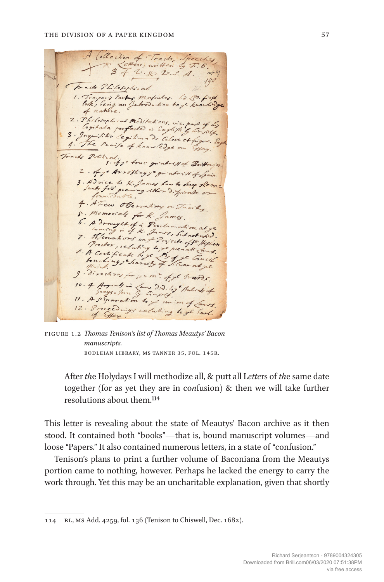A Collection of Tracks, Speeches,  $B \nmid U.B. 2.5. A.$  $150$ Frack Philopophical. 1. Tempor's Tarkey Mateulus. 4 (19. first 2. Philosophical moditations, vie part of his<br>Contata perfected in English & Limited. 3 . Inquisite legitima de Calone et figure. Engly 4. The Praise of knowledge on Essay. Fracks Political, etrus graduated Britain. 2. Aye Arrething ye grinden to of Spain. 3. Advice to K. James Low to keep Recorwhy for growing within de frequence 4. A Few Obenationy on Tacity 5. Memorials for K. James. S. Momon alg for K. James.<br>6. A drawfile of a Broclamation alge<br>7. Menon on 4 K. James, bandwife). T. Hlenohoms on & Prijects , bet not up).<br>7. Hlenohoms on & Prijects of V. Heplen Protor, relating to ye penalt can. g. directions for your of ye trans. 10.4 Argues 5 m Gars 2.2.1 og Andiens of 11. A Pyraration to ye union of laws. 12. Proceedings relating to ge land of Effere:

Figure 1.2 *Thomas Tenison's list of Thomas Meautys' Bacon manuscripts.* Bodleian Library, MS Tanner 35, fol. 145r.

After *th*e Holydays I will methodize all, & putt all L*ette*rs of *th*e same date together (for as yet they are in co*n*fusion) & then we will take further resolutions about them.114

This letter is revealing about the state of Meautys' Bacon archive as it then stood. It contained both "books"—that is, bound manuscript volumes—and loose "Papers." It also contained numerous letters, in a state of "confusion."

Tenison's plans to print a further volume of Baconiana from the Meautys portion came to nothing, however. Perhaps he lacked the energy to carry the work through. Yet this may be an uncharitable explanation, given that shortly

<sup>114</sup> BL, MS Add. 4259, fol. 136 (Tenison to Chiswell, Dec. 1682).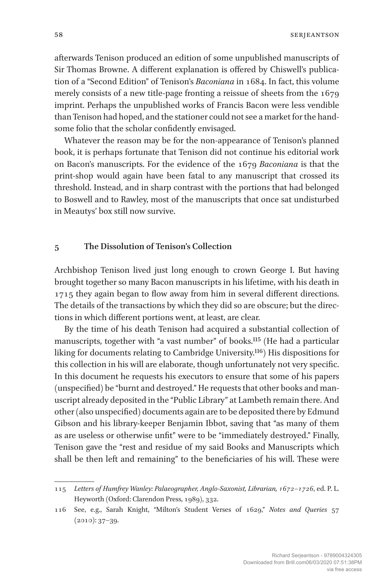58 Serjeantson

afterwards Tenison produced an edition of some unpublished manuscripts of Sir Thomas Browne. A different explanation is offered by Chiswell's publication of a "Second Edition" of Tenison's *Baconiana* in 1684. In fact, this volume merely consists of a new title-page fronting a reissue of sheets from the 1679 imprint. Perhaps the unpublished works of Francis Bacon were less vendible than Tenison had hoped, and the stationer could not see a market for the handsome folio that the scholar confidently envisaged.

Whatever the reason may be for the non-appearance of Tenison's planned book, it is perhaps fortunate that Tenison did not continue his editorial work on Bacon's manuscripts. For the evidence of the 1679 *Baconiana* is that the print-shop would again have been fatal to any manuscript that crossed its threshold. Instead, and in sharp contrast with the portions that had belonged to Boswell and to Rawley, most of the manuscripts that once sat undisturbed in Meautys' box still now survive.

## **5 The Dissolution of Tenison's Collection**

Archbishop Tenison lived just long enough to crown George I. But having brought together so many Bacon manuscripts in his lifetime, with his death in 1715 they again began to flow away from him in several different directions. The details of the transactions by which they did so are obscure; but the directions in which different portions went, at least, are clear.

By the time of his death Tenison had acquired a substantial collection of manuscripts, together with "a vast number" of books.115 (He had a particular liking for documents relating to Cambridge University.116) His dispositions for this collection in his will are elaborate, though unfortunately not very specific. In this document he requests his executors to ensure that some of his papers (unspecified) be "burnt and destroyed." He requests that other books and manuscript already deposited in the "Public Library" at Lambeth remain there. And other (also unspecified) documents again are to be deposited there by Edmund Gibson and his library-keeper Benjamin Ibbot, saving that "as many of them as are useless or otherwise unfit" were to be "immediately destroyed." Finally, Tenison gave the "rest and residue of my said Books and Manuscripts which shall be then left and remaining" to the beneficiaries of his will. These were

<sup>115</sup> *Letters of Humfrey Wanley: Palaeographer, Anglo-Saxonist, Librarian, 1672–1726*, ed. P. L. Heyworth (Oxford: Clarendon Press, 1989), 332.

<sup>116</sup> See, e.g., Sarah Knight, "Milton's Student Verses of 1629," *Notes and Queries* 57 (2010): 37–39.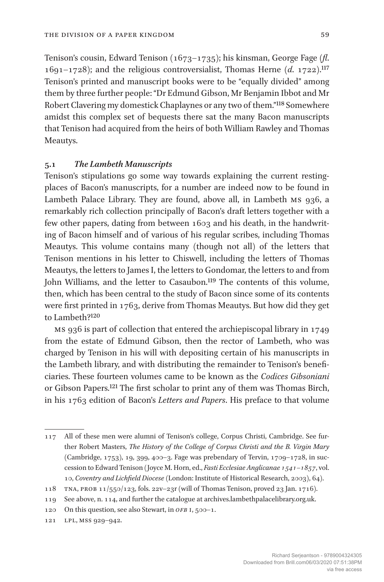Tenison's cousin, Edward Tenison (1673–1735); his kinsman, George Fage (*fl*. 1691–1728); and the religious controversialist, Thomas Herne (*d*. 1722).117 Tenison's printed and manuscript books were to be "equally divided" among them by three further people: "Dr Edmund Gibson, Mr Benjamin Ibbot and Mr Robert Clavering my domestick Chaplaynes or any two of them."118 Somewhere amidst this complex set of bequests there sat the many Bacon manuscripts that Tenison had acquired from the heirs of both William Rawley and Thomas Meautys.

## **5.1** *The Lambeth Manuscripts*

Tenison's stipulations go some way towards explaining the current restingplaces of Bacon's manuscripts, for a number are indeed now to be found in Lambeth Palace Library. They are found, above all, in Lambeth MS 936, a remarkably rich collection principally of Bacon's draft letters together with a few other papers, dating from between 1603 and his death, in the handwriting of Bacon himself and of various of his regular scribes, including Thomas Meautys. This volume contains many (though not all) of the letters that Tenison mentions in his letter to Chiswell, including the letters of Thomas Meautys, the letters to James I, the letters to Gondomar, the letters to and from John Williams, and the letter to Casaubon.<sup>119</sup> The contents of this volume, then, which has been central to the study of Bacon since some of its contents were first printed in 1763, derive from Thomas Meautys. But how did they get to Lambeth?120

MS 936 is part of collection that entered the archiepiscopal library in 1749 from the estate of Edmund Gibson, then the rector of Lambeth, who was charged by Tenison in his will with depositing certain of his manuscripts in the Lambeth library, and with distributing the remainder to Tenison's beneficiaries. These fourteen volumes came to be known as the *Codices Gibsoniani* or Gibson Papers.121 The first scholar to print any of them was Thomas Birch, in his 1763 edition of Bacon's *Letters and Papers*. His preface to that volume

<sup>117</sup> All of these men were alumni of Tenison's college, Corpus Christi, Cambridge. See further Robert Masters, *The History of the College of Corpus Christi and the B. Virgin Mary* (Cambridge, 1753), 19, 399, 400–3. Fage was prebendary of Tervin, 1709–1728, in succession to Edward Tenison (Joyce M. Horn, ed., *Fasti Ecclesiae Anglicanae 1541–1857*, vol. 10, *Coventry and Lichfield Diocese* (London: Institute of Historical Research, 2003), 64).

<sup>118</sup> TNA, PROB 11/550/123, fols. 22v–23r (will of Thomas Tenison, proved 23 Jan. 1716).

<sup>119</sup> See above, n. 114, and further the catalogue at archives.lambethpalacelibrary.org.uk.

<sup>120</sup> On this question, see also Stewart, in *OFB* I, 500–1.

<sup>121</sup> LPL, MSS 929–942.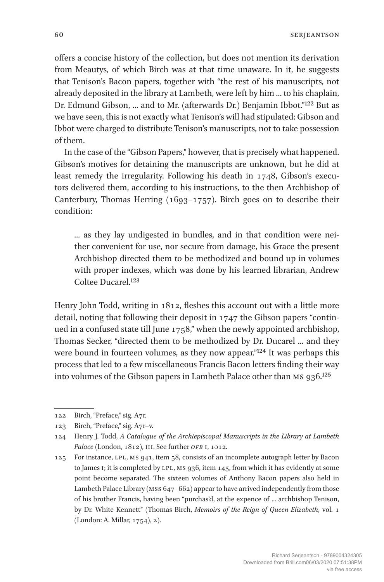offers a concise history of the collection, but does not mention its derivation from Meautys, of which Birch was at that time unaware. In it, he suggests that Tenison's Bacon papers, together with "the rest of his manuscripts, not already deposited in the library at Lambeth, were left by him ... to his chaplain, Dr. Edmund Gibson, ... and to Mr. (afterwards Dr.) Benjamin Ibbot."122 But as we have seen, this is not exactly what Tenison's will had stipulated: Gibson and Ibbot were charged to distribute Tenison's manuscripts, not to take possession of them.

In the case of the "Gibson Papers," however, that is precisely what happened. Gibson's motives for detaining the manuscripts are unknown, but he did at least remedy the irregularity. Following his death in 1748, Gibson's executors delivered them, according to his instructions, to the then Archbishop of Canterbury, Thomas Herring  $(1693-1757)$ . Birch goes on to describe their condition:

... as they lay undigested in bundles, and in that condition were neither convenient for use, nor secure from damage, his Grace the present Archbishop directed them to be methodized and bound up in volumes with proper indexes, which was done by his learned librarian, Andrew Coltee Ducarel.123

Henry John Todd, writing in 1812, fleshes this account out with a little more detail, noting that following their deposit in 1747 the Gibson papers "continued in a confused state till June 1758," when the newly appointed archbishop, Thomas Secker, "directed them to be methodized by Dr. Ducarel ... and they were bound in fourteen volumes, as they now appear."<sup>124</sup> It was perhaps this process that led to a few miscellaneous Francis Bacon letters finding their way into volumes of the Gibson papers in Lambeth Palace other than MS  $936$ .<sup>125</sup>

<sup>122</sup> Birch, "Preface," sig. A7r.

<sup>123</sup> Birch, "Preface," sig. A7r–v.

<sup>124</sup> Henry J. Todd, *A Catalogue of the Archiepiscopal Manuscripts in the Library at Lambeth Palace* (London, 1812), iii. See further *OFB* I, 1012.

<sup>125</sup> For instance, LPL, MS 941, item 58, consists of an incomplete autograph letter by Bacon to James I; it is completed by LPL, MS 936, item 145, from which it has evidently at some point become separated. The sixteen volumes of Anthony Bacon papers also held in Lambeth Palace Library (MSS 647–662) appear to have arrived independently from those of his brother Francis, having been "purchas'd, at the expence of ... archbishop Tenison, by Dr. White Kennett" (Thomas Birch, *Memoirs of the Reign of Queen Elizabeth*, vol. 1 (London: A. Millar, 1754), 2).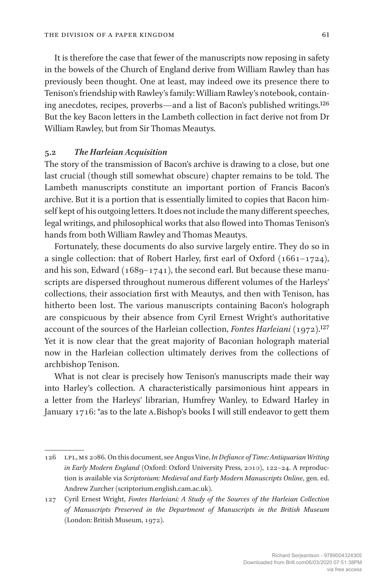It is therefore the case that fewer of the manuscripts now reposing in safety in the bowels of the Church of England derive from William Rawley than has previously been thought. One at least, may indeed owe its presence there to Tenison's friendship with Rawley's family: William Rawley's notebook, containing anecdotes, recipes, proverbs—and a list of Bacon's published writings.126 But the key Bacon letters in the Lambeth collection in fact derive not from Dr William Rawley, but from Sir Thomas Meautys.

## **5.2** *The Harleian Acquisition*

The story of the transmission of Bacon's archive is drawing to a close, but one last crucial (though still somewhat obscure) chapter remains to be told. The Lambeth manuscripts constitute an important portion of Francis Bacon's archive. But it is a portion that is essentially limited to copies that Bacon himself kept of his outgoing letters. It does not include the many different speeches, legal writings, and philosophical works that also flowed into Thomas Tenison's hands from both William Rawley and Thomas Meautys.

Fortunately, these documents do also survive largely entire. They do so in a single collection: that of Robert Harley, first earl of Oxford (1661–1724), and his son, Edward  $(1689-1741)$ , the second earl. But because these manuscripts are dispersed throughout numerous different volumes of the Harleys' collections, their association first with Meautys, and then with Tenison, has hitherto been lost. The various manuscripts containing Bacon's holograph are conspicuous by their absence from Cyril Ernest Wright's authoritative account of the sources of the Harleian collection, *Fontes Harleiani* (1972).127 Yet it is now clear that the great majority of Baconian holograph material now in the Harleian collection ultimately derives from the collections of archbishop Tenison.

What is not clear is precisely how Tenison's manuscripts made their way into Harley's collection. A characteristically parsimonious hint appears in a letter from the Harleys' librarian, Humfrey Wanley, to Edward Harley in January 1716: "as to the late A.Bishop's books I will still endeavor to gett them

<sup>126</sup> LPL, MS 2086. On this document, see Angus Vine, *In Defiance of Time: Antiquarian Writing in Early Modern England* (Oxford: Oxford University Press, 2010), 122–24. A reproduction is available via *Scriptorium: Medieval and Early Modern Manuscripts Online*, gen. ed. Andrew Zurcher (scriptorium.english.cam.ac.uk).

<sup>127</sup> Cyril Ernest Wright, *Fontes Harleiani: A Study of the Sources of the Harleian Collection of Manuscripts Preserved in the Department of Manuscripts in the British Museum* (London: British Museum, 1972).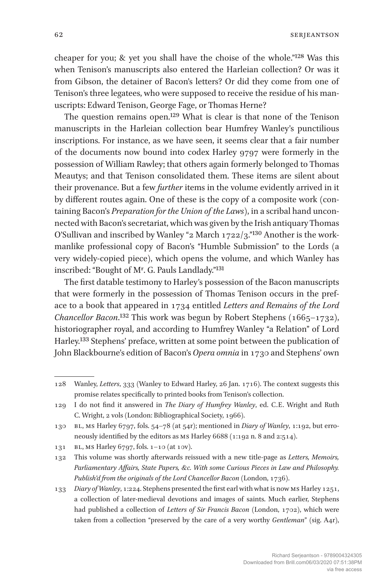62 SERJEANTSON

cheaper for you; & yet you shall have the choise of the whole."128 Was this when Tenison's manuscripts also entered the Harleian collection? Or was it from Gibson, the detainer of Bacon's letters? Or did they come from one of Tenison's three legatees, who were supposed to receive the residue of his manuscripts: Edward Tenison, George Fage, or Thomas Herne?

The question remains open.129 What is clear is that none of the Tenison manuscripts in the Harleian collection bear Humfrey Wanley's punctilious inscriptions. For instance, as we have seen, it seems clear that a fair number of the documents now bound into codex Harley 9797 were formerly in the possession of William Rawley; that others again formerly belonged to Thomas Meautys; and that Tenison consolidated them. These items are silent about their provenance. But a few *further* items in the volume evidently arrived in it by different routes again. One of these is the copy of a composite work (containing Bacon's *Preparation for the Union of the Laws*), in a scribal hand unconnected with Bacon's secretariat, which was given by the Irish antiquary Thomas O'Sullivan and inscribed by Wanley "2 March 1722/3."130 Another is the workmanlike professional copy of Bacon's "Humble Submission" to the Lords (a very widely-copied piece), which opens the volume, and which Wanley has inscribed: "Bought of Mr. G. Pauls Landlady."131

The first datable testimony to Harley's possession of the Bacon manuscripts that were formerly in the possession of Thomas Tenison occurs in the preface to a book that appeared in 1734 entitled *Letters and Remains of the Lord Chancellor Bacon.*<sup>132</sup> This work was begun by Robert Stephens (1665-1732), historiographer royal, and according to Humfrey Wanley "a Relation" of Lord Harley.133 Stephens' preface, written at some point between the publication of John Blackbourne's edition of Bacon's *Opera omnia* in 1730 and Stephens' own

<sup>128</sup> Wanley, *Letters*, 333 (Wanley to Edward Harley, 26 Jan. 1716). The context suggests this promise relates specifically to printed books from Tenison's collection.

<sup>129</sup> I do not find it answered in *The Diary of Humfrey Wanley*, ed. C.E. Wright and Ruth C. Wright, 2 vols (London: Bibliographical Society, 1966).

<sup>130</sup> BL, MS Harley 6797, fols. 54–78 (at 54r); mentioned in *Diary of Wanley*, 1:192, but erroneously identified by the editors as MS Harley 6688 (1:192 n. 8 and 2:514).

<sup>131</sup> BL, MS Harley 6797, fols. 1–10 (at 10v).

<sup>132</sup> This volume was shortly afterwards reissued with a new title-page as *Letters, Memoirs, Parliamentary Affairs, State Papers, &c. With some Curious Pieces in Law and Philosophy. Publish'd from the originals of the Lord Chancellor Bacon* (London, 1736).

<sup>133</sup> *Diary of Wanley*, 1:224. Stephens presented the first earl with what is now MS Harley 1251, a collection of later-medieval devotions and images of saints. Much earlier, Stephens had published a collection of *Letters of Sir Francis Bacon* (London, 1702), which were taken from a collection "preserved by the care of a very worthy *Gentleman*" (sig. A4r),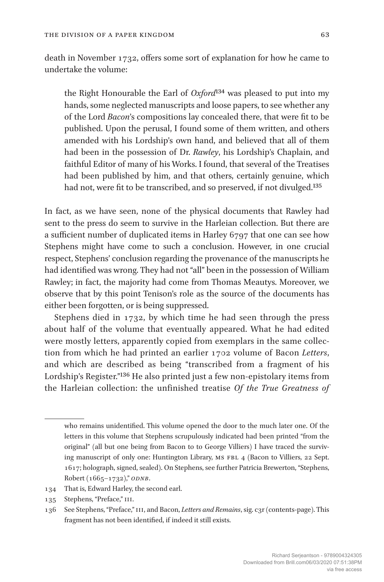death in November 1732, offers some sort of explanation for how he came to undertake the volume:

the Right Honourable the Earl of *Oxford*134 was pleased to put into my hands, some neglected manuscripts and loose papers, to see whether any of the Lord *Bacon*'s compositions lay concealed there, that were fit to be published. Upon the perusal, I found some of them written, and others amended with his Lordship's own hand, and believed that all of them had been in the possession of Dr. *Rawley*, his Lordship's Chaplain, and faithful Editor of many of his Works. I found, that several of the Treatises had been published by him, and that others, certainly genuine, which had not, were fit to be transcribed, and so preserved, if not divulged.<sup>135</sup>

In fact, as we have seen, none of the physical documents that Rawley had sent to the press do seem to survive in the Harleian collection. But there are a sufficient number of duplicated items in Harley 6797 that one can see how Stephens might have come to such a conclusion. However, in one crucial respect, Stephens' conclusion regarding the provenance of the manuscripts he had identified was wrong. They had not "all" been in the possession of William Rawley; in fact, the majority had come from Thomas Meautys. Moreover, we observe that by this point Tenison's role as the source of the documents has either been forgotten, or is being suppressed.

Stephens died in 1732, by which time he had seen through the press about half of the volume that eventually appeared. What he had edited were mostly letters, apparently copied from exemplars in the same collection from which he had printed an earlier 1702 volume of Bacon *Letters*, and which are described as being "transcribed from a fragment of his Lordship's Register."136 He also printed just a few non-epistolary items from the Harleian collection: the unfinished treatise *Of the True Greatness of* 

who remains unidentified. This volume opened the door to the much later one. Of the letters in this volume that Stephens scrupulously indicated had been printed "from the original" (all but one being from Bacon to to George Villiers) I have traced the surviving manuscript of only one: Huntington Library, MS FBL 4 (Bacon to Villiers, 22 Sept. 1617; holograph, signed, sealed). On Stephens, see further Patricia Brewerton, "Stephens, Robert (1665–1732)," *ODNB*.

<sup>134</sup> That is, Edward Harley, the second earl.

<sup>135</sup> Stephens, "Preface," III.

<sup>136</sup> See Stephens, "Preface," iii, and Bacon, *Letters and Remains*, sig. c3r (contents-page). This fragment has not been identified, if indeed it still exists.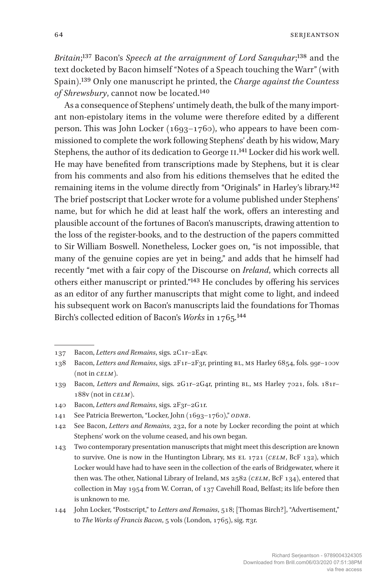64 SERJEANTSON

*Britain*;137 Bacon's *Speech at the arraignment of Lord Sanquhar*;138 and the text docketed by Bacon himself "Notes of a Speach touching the Warr" (with Spain).139 Only one manuscript he printed, the *Charge against the Countess of Shrewsbury*, cannot now be located.140

As a consequence of Stephens' untimely death, the bulk of the many important non-epistolary items in the volume were therefore edited by a different person. This was John Locker (1693–1760), who appears to have been commissioned to complete the work following Stephens' death by his widow, Mary Stephens, the author of its dedication to George II.<sup>141</sup> Locker did his work well. He may have benefited from transcriptions made by Stephens, but it is clear from his comments and also from his editions themselves that he edited the remaining items in the volume directly from "Originals" in Harley's library.142 The brief postscript that Locker wrote for a volume published under Stephens' name, but for which he did at least half the work, offers an interesting and plausible account of the fortunes of Bacon's manuscripts, drawing attention to the loss of the register-books, and to the destruction of the papers committed to Sir William Boswell. Nonetheless, Locker goes on, "is not impossible, that many of the genuine copies are yet in being," and adds that he himself had recently "met with a fair copy of the Discourse on *Ireland*, which corrects all others either manuscript or printed."143 He concludes by offering his services as an editor of any further manuscripts that might come to light, and indeed his subsequent work on Bacon's manuscripts laid the foundations for Thomas Birch's collected edition of Bacon's *Works* in 1765*.*144

<sup>137</sup> Bacon, *Letters and Remains*, sigs. 2C1r–2E4v.

<sup>138</sup> Bacon, *Letters and Remains*, sigs. 2F1r–2F3r, printing BL, MS Harley 6854, fols. 99r–100v (not in *CELM*).

<sup>139</sup> Bacon, *Letters and Remains*, sigs. 2G1r–2G4r, printing BL, MS Harley 7021, fols. 181r– 188v (not in *CELM*).

<sup>140</sup> Bacon, *Letters and Remains*, sigs. 2F3r–2G1r.

<sup>141</sup> See Patricia Brewerton, "Locker, John (1693–1760)," *ODNB*.

<sup>142</sup> See Bacon, *Letters and Remains*, 232, for a note by Locker recording the point at which Stephens' work on the volume ceased, and his own began.

<sup>143</sup> Two contemporary presentation manuscripts that might meet this description are known to survive. One is now in the Huntington Library, MS EL 1721 (*CELM*, BcF 132), which Locker would have had to have seen in the collection of the earls of Bridgewater, where it then was. The other, National Library of Ireland, MS 2582 (*CELM*, BcF 134), entered that collection in May 1954 from W. Corran, of 137 Cavehill Road, Belfast; its life before then is unknown to me.

<sup>144</sup> John Locker, "Postscript," to *Letters and Remains*, 518; [Thomas Birch?], "Advertisement," to *The Works of Francis Bacon*, 5 vols (London, 1765), sig. π3r.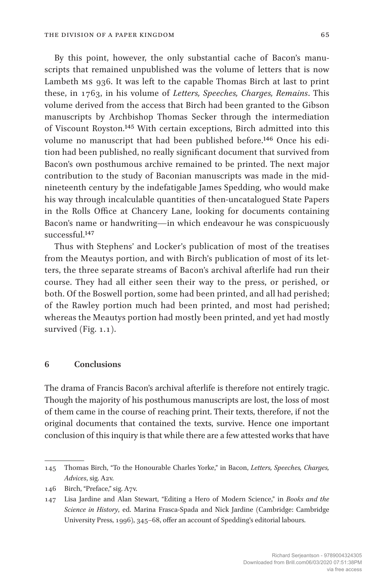By this point, however, the only substantial cache of Bacon's manuscripts that remained unpublished was the volume of letters that is now Lambeth MS 936. It was left to the capable Thomas Birch at last to print these, in 1763, in his volume of *Letters, Speeches, Charges, Remains*. This volume derived from the access that Birch had been granted to the Gibson manuscripts by Archbishop Thomas Secker through the intermediation of Viscount Royston.145 With certain exceptions, Birch admitted into this volume no manuscript that had been published before.146 Once his edition had been published, no really significant document that survived from Bacon's own posthumous archive remained to be printed. The next major contribution to the study of Baconian manuscripts was made in the midnineteenth century by the indefatigable James Spedding, who would make his way through incalculable quantities of then-uncatalogued State Papers in the Rolls Office at Chancery Lane, looking for documents containing Bacon's name or handwriting—in which endeavour he was conspicuously successful.147

Thus with Stephens' and Locker's publication of most of the treatises from the Meautys portion, and with Birch's publication of most of its letters, the three separate streams of Bacon's archival afterlife had run their course. They had all either seen their way to the press, or perished, or both. Of the Boswell portion, some had been printed, and all had perished; of the Rawley portion much had been printed, and most had perished; whereas the Meautys portion had mostly been printed, and yet had mostly survived (Fig. 1.1).

## **6 Conclusions**

The drama of Francis Bacon's archival afterlife is therefore not entirely tragic. Though the majority of his posthumous manuscripts are lost, the loss of most of them came in the course of reaching print. Their texts, therefore, if not the original documents that contained the texts, survive. Hence one important conclusion of this inquiry is that while there are a few attested works that have

<sup>145</sup> Thomas Birch, "To the Honourable Charles Yorke," in Bacon, *Letters, Speeches, Charges, Advices*, sig. A2v.

<sup>146</sup> Birch, "Preface," sig. A7v.

<sup>147</sup> Lisa Jardine and Alan Stewart, "Editing a Hero of Modern Science," in *Books and the Science in History*, ed. Marina Frasca-Spada and Nick Jardine (Cambridge: Cambridge University Press, 1996), 345–68, offer an account of Spedding's editorial labours.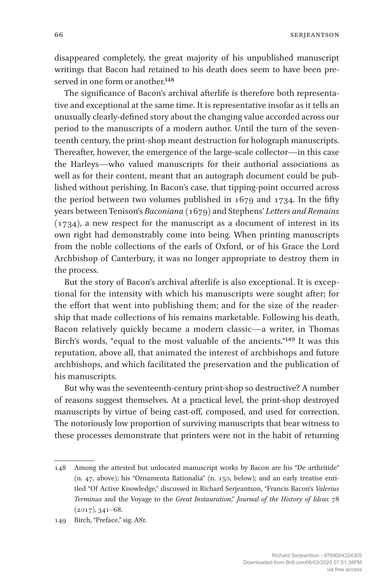66 Serjeantson

disappeared completely, the great majority of his unpublished manuscript writings that Bacon had retained to his death does seem to have been preserved in one form or another.<sup>148</sup>

The significance of Bacon's archival afterlife is therefore both representative and exceptional at the same time. It is representative insofar as it tells an unusually clearly-defined story about the changing value accorded across our period to the manuscripts of a modern author. Until the turn of the seventeenth century, the print-shop meant destruction for holograph manuscripts. Thereafter, however, the emergence of the large-scale collector—in this case the Harleys—who valued manuscripts for their authorial associations as well as for their content, meant that an autograph document could be published without perishing. In Bacon's case, that tipping-point occurred across the period between two volumes published in  $1679$  and  $1734$ . In the fifty years between Tenison's *Baconiana* (1679) and Stephens' *Letters and Remains*  $(1734)$ , a new respect for the manuscript as a document of interest in its own right had demonstrably come into being. When printing manuscripts from the noble collections of the earls of Oxford, or of his Grace the Lord Archbishop of Canterbury, it was no longer appropriate to destroy them in the process.

But the story of Bacon's archival afterlife is also exceptional. It is exceptional for the intensity with which his manuscripts were sought after; for the effort that went into publishing them; and for the size of the readership that made collections of his remains marketable. Following his death, Bacon relatively quickly became a modern classic—a writer, in Thomas Birch's words, "equal to the most valuable of the ancients."149 It was this reputation, above all, that animated the interest of archbishops and future archbishops, and which facilitated the preservation and the publication of his manuscripts.

But why was the seventeenth-century print-shop so destructive? A number of reasons suggest themselves. At a practical level, the print-shop destroyed manuscripts by virtue of being cast-off, composed, and used for correction. The notoriously low proportion of surviving manuscripts that bear witness to these processes demonstrate that printers were not in the habit of returning

<sup>148</sup> Among the attested but unlocated manuscript works by Bacon are his "De arthritide" (n. 47, above); his "Ornamenta Rationalia" (n. 150, below); and an early treatise entitled "Of Active Knowledge," discussed in Richard Serjeantson, "Francis Bacon's *Valerius Terminus* and the Voyage to the *Great Instauration*," *Journal of the History of Ideas* 78 (2017), 341–68.

<sup>149</sup> Birch, "Preface," sig. A8r.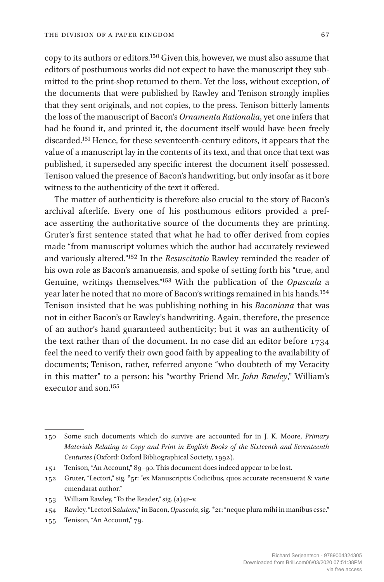copy to its authors or editors.150 Given this, however, we must also assume that editors of posthumous works did not expect to have the manuscript they submitted to the print-shop returned to them. Yet the loss, without exception, of the documents that were published by Rawley and Tenison strongly implies that they sent originals, and not copies, to the press. Tenison bitterly laments the loss of the manuscript of Bacon's *Ornamenta Rationalia*, yet one infers that had he found it, and printed it, the document itself would have been freely discarded.151 Hence, for these seventeenth-century editors, it appears that the value of a manuscript lay in the contents of its text, and that once that text was published, it superseded any specific interest the document itself possessed. Tenison valued the presence of Bacon's handwriting, but only insofar as it bore witness to the authenticity of the text it offered.

The matter of authenticity is therefore also crucial to the story of Bacon's archival afterlife. Every one of his posthumous editors provided a preface asserting the authoritative source of the documents they are printing. Gruter's first sentence stated that what he had to offer derived from copies made "from manuscript volumes which the author had accurately reviewed and variously altered."152 In the *Resuscitatio* Rawley reminded the reader of his own role as Bacon's amanuensis, and spoke of setting forth his "true, and Genuine, writings themselves."153 With the publication of the *Opuscula* a year later he noted that no more of Bacon's writings remained in his hands.154 Tenison insisted that he was publishing nothing in his *Baconiana* that was not in either Bacon's or Rawley's handwriting. Again, therefore, the presence of an author's hand guaranteed authenticity; but it was an authenticity of the text rather than of the document. In no case did an editor before 1734 feel the need to verify their own good faith by appealing to the availability of documents; Tenison, rather, referred anyone "who doubteth of my Veracity in this matter" to a person: his "worthy Friend Mr. *John Rawley*," William's executor and son.155

<sup>150</sup> Some such documents which do survive are accounted for in J. K. Moore, *Primary Materials Relating to Copy and Print in English Books of the Sixteenth and Seventeenth Centuries* (Oxford: Oxford Bibliographical Society, 1992).

<sup>151</sup> Tenison, "An Account," 89–90. This document does indeed appear to be lost.

<sup>152</sup> Gruter, "Lectori," sig. \*5r: "ex Manuscriptis Codicibus, quos accurate recensuerat & varie emendarat author."

<sup>153</sup> William Rawley, "To the Reader," sig. (a)4r–v.

<sup>154</sup> Rawley, "Lectori S*alutem*," in Bacon, *Opuscula*, sig. \*2r: "neque plura mihi in manibus esse."

<sup>155</sup> Tenison, "An Account," 79.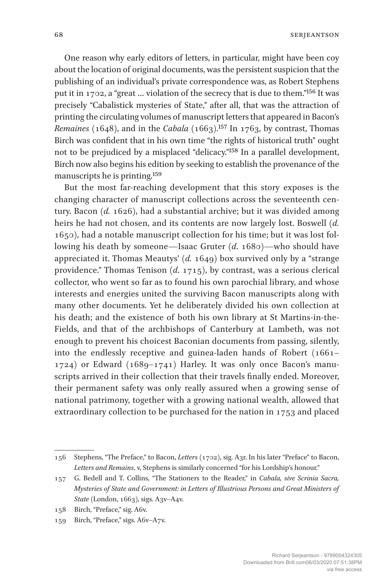68 SERJEANTSON

One reason why early editors of letters, in particular, might have been coy about the location of original documents, was the persistent suspicion that the publishing of an individual's private correspondence was, as Robert Stephens put it in 1702, a "great … violation of the secrecy that is due to them."156 It was precisely "Cabalistick mysteries of State," after all, that was the attraction of printing the circulating volumes of manuscript letters that appeared in Bacon's *Remaines* (1648), and in the *Cabala* (1663).157 In 1763, by contrast, Thomas Birch was confident that in his own time "the rights of historical truth" ought not to be prejudiced by a misplaced "delicacy."158 In a parallel development, Birch now also begins his edition by seeking to establish the provenance of the manuscripts he is printing.159

But the most far-reaching development that this story exposes is the changing character of manuscript collections across the seventeenth century. Bacon (*d.* 1626), had a substantial archive; but it was divided among heirs he had not chosen, and its contents are now largely lost. Boswell (*d.* 1650), had a notable manuscript collection for his time; but it was lost following his death by someone—Isaac Gruter (*d*. 1680)—who should have appreciated it. Thomas Meautys' (*d.* 1649) box survived only by a "strange providence." Thomas Tenison (*d*. 1715), by contrast, was a serious clerical collector, who went so far as to found his own parochial library, and whose interests and energies united the surviving Bacon manuscripts along with many other documents. Yet he deliberately divided his own collection at his death; and the existence of both his own library at St Martins-in-the-Fields, and that of the archbishops of Canterbury at Lambeth, was not enough to prevent his choicest Baconian documents from passing, silently, into the endlessly receptive and guinea-laden hands of Robert (1661–  $1724$ ) or Edward  $(1689-1741)$  Harley. It was only once Bacon's manuscripts arrived in their collection that their travels finally ended. Moreover, their permanent safety was only really assured when a growing sense of national patrimony, together with a growing national wealth, allowed that extraordinary collection to be purchased for the nation in 1753 and placed

<sup>156</sup> Stephens, "The Preface," to Bacon, *Letters* (1702), sig. A3r. In his later "Preface" to Bacon, *Letters and Remains*, v, Stephens is similarly concerned "for his Lordship's honour."

<sup>157</sup> G. Bedell and T. Collins, "The Stationers to the Reader," in *Cabala, sive Scrinia Sacra, Mysteries of State and Government: in Letters of Illustrious Persons and Great Ministers of State* (London, 1663), sigs. A3v–A4v.

<sup>158</sup> Birch, "Preface," sig. A6v.

<sup>159</sup> Birch, "Preface," sigs. A6v–A7v.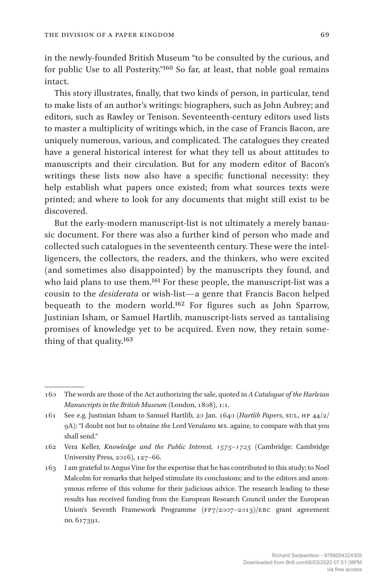in the newly-founded British Museum "to be consulted by the curious, and for public Use to all Posterity."160 So far, at least, that noble goal remains intact.

This story illustrates, finally, that two kinds of person, in particular, tend to make lists of an author's writings: biographers, such as John Aubrey; and editors, such as Rawley or Tenison. Seventeenth-century editors used lists to master a multiplicity of writings which, in the case of Francis Bacon, are uniquely numerous, various, and complicated. The catalogues they created have a general historical interest for what they tell us about attitudes to manuscripts and their circulation. But for any modern editor of Bacon's writings these lists now also have a specific functional necessity: they help establish what papers once existed; from what sources texts were printed; and where to look for any documents that might still exist to be discovered.

But the early-modern manuscript-list is not ultimately a merely banausic document. For there was also a further kind of person who made and collected such catalogues in the seventeenth century. These were the intelligencers, the collectors, the readers, and the thinkers, who were excited (and sometimes also disappointed) by the manuscripts they found, and who laid plans to use them.<sup>161</sup> For these people, the manuscript-list was a cousin to the *desiderata* or wish-list—a genre that Francis Bacon helped bequeath to the modern world.162 For figures such as John Sparrow, Justinian Isham, or Samuel Hartlib, manuscript-lists served as tantalising promises of knowledge yet to be acquired. Even now, they retain something of that quality.163

<sup>160</sup> The words are those of the Act authorizing the sale, quoted in *A Catalogue of the Harleian Manuscripts in the British Museum* (London, 1808), 1:1.

<sup>161</sup> See e.g. Justinian Isham to Samuel Hartlib, 20 Jan. 1640 (*Hartlib Papers*, SUL, HP 44/2/ 9A): "I doubt not but to obtaine *th*e Lord Veru*lams* MS. againe, to compare w*i*th that you shall send."

<sup>162</sup> Vera Keller, *Knowledge and the Public Interest, 1575–1725* (Cambridge: Cambridge University Press, 2016), 127–66.

<sup>163</sup> I am grateful to Angus Vine for the expertise that he has contributed to this study; to Noel Malcolm for remarks that helped stimulate its conclusions; and to the editors and anonymous referee of this volume for their judicious advice. The research leading to these results has received funding from the European Research Council under the European Union's Seventh Framework Programme (FP7/2007–2013)/ERC grant agreement no. 617391.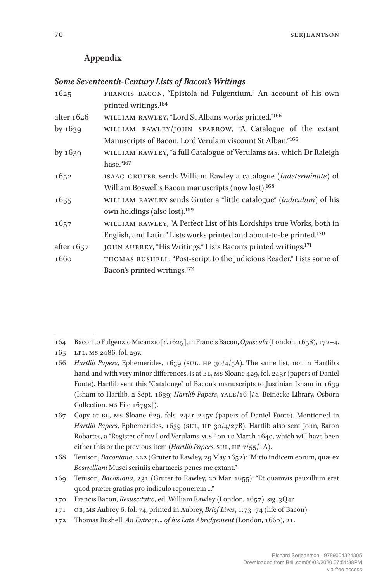# **Appendix**

#### *Some Seventeenth-Century Lists of Bacon's Writings*

| 1625         | FRANCIS BACON, "Epistola ad Fulgentium." An account of his own                   |
|--------------|----------------------------------------------------------------------------------|
|              | printed writings. <sup>164</sup>                                                 |
| after $1626$ | WILLIAM RAWLEY, "Lord St Albans works printed."165                               |
| by $1639$    | WILLIAM RAWLEY/JOHN SPARROW, "A Catalogue of the extant                          |
|              | Manuscripts of Bacon, Lord Verulam viscount St Alban."166                        |
| by $1639$    | WILLIAM RAWLEY, "a full Catalogue of Verulams MS. which Dr Raleigh               |
|              | hase. $"167$                                                                     |
| 1652         | ISAAC GRUTER sends William Rawley a catalogue (Indeterminate) of                 |
|              | William Boswell's Bacon manuscripts (now lost). <sup>168</sup>                   |
| 1655         | WILLIAM RAWLEY sends Gruter a "little catalogue" ( <i>indiculum</i> ) of his     |
|              | own holdings (also lost). <sup>169</sup>                                         |
| 1657         | WILLIAM RAWLEY, "A Perfect List of his Lordships true Works, both in             |
|              | English, and Latin." Lists works printed and about-to-be printed. <sup>170</sup> |
| after $1657$ | JOHN AUBREY, "His Writings." Lists Bacon's printed writings. <sup>171</sup>      |
| 1660         | THOMAS BUSHELL, "Post-script to the Judicious Reader." Lists some of             |
|              | Bacon's printed writings. <sup>172</sup>                                         |

<sup>164</sup> Bacon to Fulgenzio Micanzio [*c*.1625], in Francis Bacon, *Opuscula* (London, 1658), 172–4.

<sup>165</sup> LPL, MS 2086, fol. 29v.

<sup>166</sup> *Hartlib Papers*, Ephemerides, 1639 (SUL, HP 30/4/5A). The same list, not in Hartlib's hand and with very minor differences, is at BL, MS Sloane 429, fol. 243r (papers of Daniel Foote). Hartlib sent this "Catalouge" of Bacon's manuscripts to Justinian Isham in 1639 (Isham to Hartlib, 2 Sept. 1639; *Hartlib Papers*, YALE/16 [*i.e.* Beinecke Library, Osborn Collection, MS File 16792]).

<sup>167</sup> Copy at BL, MS Sloane 629, fols. 244r–245v (papers of Daniel Foote). Mentioned in *Hartlib Papers*, Ephemerides, 1639 (SUL, HP 30/4/27B). Hartlib also sent John, Baron Robartes, a "Register of my Lord Verulams M.S." on 10 March 1640, which will have been either this or the previous item (*Hartlib Papers*, SUL, HP 7/55/1A).

<sup>168</sup> Tenison, *Baconiana*, 222 (Gruter to Rawley, 29 May 1652): "Mitto indicem eorum, quæ ex *Boswelliani* Musei scriniis chartaceis penes me extant."

<sup>169</sup> Tenison, *Baconiana*, 231 (Gruter to Rawley, 20 Mar. 1655): "Et quamvis pauxillum erat quod præter gratias pro indiculo reponerem ..."

<sup>170</sup> Francis Bacon, *Resuscitatio*, ed. William Rawley (London, 1657), sig. 3Q4r.

<sup>171</sup> OB, MS Aubrey 6, fol. 74, printed in Aubrey, *Brief Lives*, 1:73–74 (life of Bacon).

<sup>172</sup> Thomas Bushell, *An Extract ... of his Late Abridgement* (London, 1660), 21.